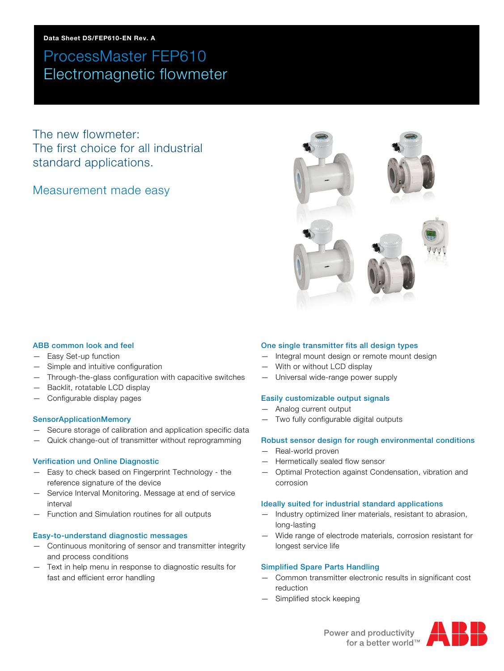The new flowmeter: The first choice for all industrial standard applications.

### Measurement made easy



#### ABB common look and feel

- Easy Set-up function
- Simple and intuitive configuration
- Through-the-glass configuration with capacitive switches
- Backlit, rotatable LCD display
- Configurable display pages

#### SensorApplicationMemory

- Secure storage of calibration and application specific data
- Quick change-out of transmitter without reprogramming

#### Verification und Online Diagnostic

- Easy to check based on Fingerprint Technology the reference signature of the device
- Service Interval Monitoring. Message at end of service interval
- Function and Simulation routines for all outputs

#### Easy-to-understand diagnostic messages

- Continuous monitoring of sensor and transmitter integrity and process conditions
- Text in help menu in response to diagnostic results for fast and efficient error handling

#### One single transmitter fits all design types

- Integral mount design or remote mount design
- With or without LCD display
- Universal wide-range power supply

#### Easily customizable output signals

- Analog current output
- Two fully configurable digital outputs

#### Robust sensor design for rough environmental conditions

- Real-world proven
- Hermetically sealed flow sensor
- Optimal Protection against Condensation, vibration and corrosion

#### Ideally suited for industrial standard applications

- Industry optimized liner materials, resistant to abrasion, long-lasting
- Wide range of electrode materials, corrosion resistant for longest service life

#### Simplified Spare Parts Handling

- Common transmitter electronic results in significant cost reduction
- Simplified stock keeping

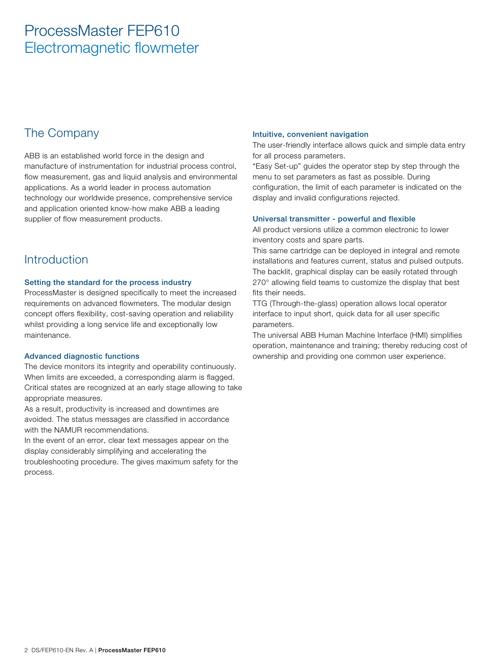### The Company

ABB is an established world force in the design and manufacture of instrumentation for industrial process control, flow measurement, gas and liquid analysis and environmental applications. As a world leader in process automation technology our worldwide presence, comprehensive service and application oriented know-how make ABB a leading supplier of flow measurement products.

### **Introduction**

#### Setting the standard for the process industry

ProcessMaster is designed specifically to meet the increased requirements on advanced flowmeters. The modular design concept offers flexibility, cost-saving operation and reliability whilst providing a long service life and exceptionally low maintenance.

#### Advanced diagnostic functions

The device monitors its integrity and operability continuously. When limits are exceeded, a corresponding alarm is flagged. Critical states are recognized at an early stage allowing to take appropriate measures.

As a result, productivity is increased and downtimes are avoided. The status messages are classified in accordance with the NAMUR recommendations.

In the event of an error, clear text messages appear on the display considerably simplifying and accelerating the troubleshooting procedure. The gives maximum safety for the process.

#### Intuitive, convenient navigation

The user-friendly interface allows quick and simple data entry for all process parameters.

"Easy Set-up" guides the operator step by step through the menu to set parameters as fast as possible. During configuration, the limit of each parameter is indicated on the display and invalid configurations rejected.

#### Universal transmitter - powerful and flexible

All product versions utilize a common electronic to lower inventory costs and spare parts.

This same cartridge can be deployed in integral and remote installations and features current, status and pulsed outputs. The backlit, graphical display can be easily rotated through 270° allowing field teams to customize the display that best fits their needs.

TTG (Through-the-glass) operation allows local operator interface to input short, quick data for all user specific parameters.

The universal ABB Human Machine Interface (HMI) simplifies operation, maintenance and training; thereby reducing cost of ownership and providing one common user experience.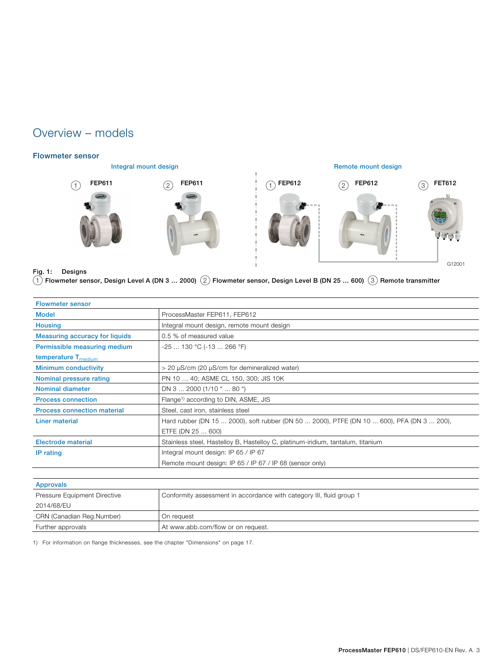### Overview – models

#### Flowmeter sensor



Integral mount design **Integral mount design** Remote mount design



#### Fig. 1: Designs

 $1$  Flowmeter sensor, Design Level A (DN 3 ... 2000)  $(2)$  Flowmeter sensor, Design Level B (DN 25 ... 600)  $(3)$  Remote transmitter

| ProcessMaster FEP611, FEP612                                                              |
|-------------------------------------------------------------------------------------------|
| Integral mount design, remote mount design                                                |
| 0.5 % of measured value                                                                   |
| $-25$ 130 °C (-13  266 °F)                                                                |
|                                                                                           |
| > 20 μS/cm (20 μS/cm for demineralized water)                                             |
| PN 10  40; ASME CL 150, 300; JIS 10K                                                      |
| DN 3  2000 (1/10 "  80 ")                                                                 |
| Flange <sup>1)</sup> according to DIN, ASME, JIS                                          |
| Steel, cast iron, stainless steel                                                         |
| Hard rubber (DN 15  2000), soft rubber (DN 50  2000), PTFE (DN 10  600), PFA (DN 3  200), |
| ETFE (DN 25  600)                                                                         |
| Stainless steel, Hastelloy B, Hastelloy C, platinum-iridium, tantalum, titanium           |
| Integral mount design: IP 65 / IP 67                                                      |
| Remote mount design: IP 65 / IP 67 / IP 68 (sensor only)                                  |
|                                                                                           |
|                                                                                           |

| Approvals                    |                                                                      |
|------------------------------|----------------------------------------------------------------------|
| Pressure Equipment Directive | Conformity assessment in accordance with category III, fluid group 1 |
| 2014/68/EU                   |                                                                      |
| CRN (Canadian Reg.Number)    | On request                                                           |
| Further approvals            | At www.abb.com/flow or on request.                                   |

1) For information on flange thicknesses, see the chapter "Dimensions" on page 17.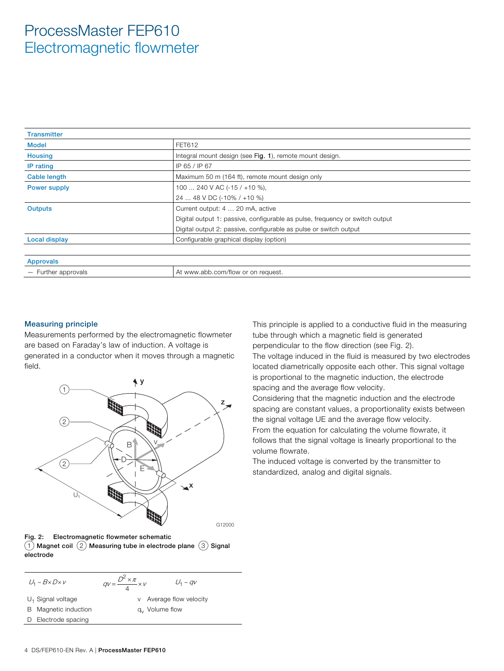| <b>Transmitter</b>  |                                                                              |
|---------------------|------------------------------------------------------------------------------|
| <b>Model</b>        | FET612                                                                       |
| <b>Housing</b>      | Integral mount design (see Fig. 1), remote mount design.                     |
| IP rating           | IP 65 / IP 67                                                                |
| <b>Cable length</b> | Maximum 50 m (164 ft), remote mount design only                              |
| <b>Power supply</b> | 100  240 V AC (-15 / +10 %),                                                 |
|                     | 24  48 V DC (-10% / +10 %)                                                   |
| <b>Outputs</b>      | Current output: 4  20 mA, active                                             |
|                     | Digital output 1: passive, configurable as pulse, frequency or switch output |
|                     | Digital output 2: passive, configurable as pulse or switch output            |
| Local display       | Configurable graphical display (option)                                      |
|                     |                                                                              |
| <b>Approvals</b>    |                                                                              |
| - Further approvals | At www.abb.com/flow or on request.                                           |

#### Measuring principle

Measurements performed by the electromagnetic flowmeter are based on Faraday's law of induction. A voltage is generated in a conductor when it moves through a magnetic field.



Fig. 2: Electromagnetic flowmeter schematic  $(1)$  Magnet coil  $(2)$  Measuring tube in electrode plane  $(3)$  Signal electrode

$$
U_1 \sim B \times D \times V \qquad \qquad qV = \frac{D^2 \times \pi}{4} \times V
$$

 $U_1 \sim qV$ 

 $U_1$  Signal voltage

B Magnetic induction

- v Average flow velocity
- qv Volume flow
- D Electrode spacing

This principle is applied to a conductive fluid in the measuring tube through which a magnetic field is generated perpendicular to the flow direction (see Fig. 2).

The voltage induced in the fluid is measured by two electrodes located diametrically opposite each other. This signal voltage is proportional to the magnetic induction, the electrode spacing and the average flow velocity.

Considering that the magnetic induction and the electrode spacing are constant values, a proportionality exists between the signal voltage UE and the average flow velocity. From the equation for calculating the volume flowrate, it follows that the signal voltage is linearly proportional to the volume flowrate.

The induced voltage is converted by the transmitter to standardized, analog and digital signals.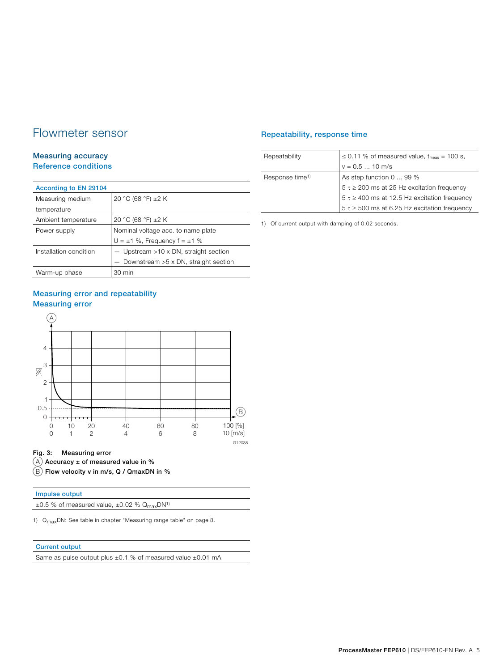### Flowmeter sensor

#### Measuring accuracy Reference conditions

| According to EN 29104  |                                         |
|------------------------|-----------------------------------------|
| Measuring medium       | 20 °C (68 °F) ±2 K                      |
| temperature            |                                         |
| Ambient temperature    | 20 °C (68 °F) ±2 K                      |
| Power supply           | Nominal voltage acc. to name plate      |
|                        | $U = \pm 1$ %, Frequency $f = \pm 1$ %  |
| Installation condition | $-$ Upstream >10 x DN, straight section |
|                        | - Downstream >5 x DN, straight section  |
| Warm-up phase          | 30 min                                  |

### Measuring error and repeatability Measuring error



#### Fig. 3: Measuring error

 $(A)$  Accuracy  $\pm$  of measured value in %

 $\overline{(B)}$  Flow velocity v in m/s, Q / QmaxDN in %

#### Impulse output

 $\pm 0.5$  % of measured value,  $\pm 0.02$  %  $Q_{max}DN^{1}$ 

1) Q<sub>max</sub>DN: See table in chapter "Measuring range table" on page 8.

#### Current output

Same as pulse output plus  $\pm 0.1$  % of measured value  $\pm 0.01$  mA

#### Repeatability, response time

| Repeatability               | $\leq$ 0.11 % of measured value, $t_{meas}$ = 100 s, |
|-----------------------------|------------------------------------------------------|
|                             | $v = 0.5$ 10 m/s                                     |
| Response time <sup>1)</sup> | As step function 0  99 %                             |
|                             | $5 \tau \ge 200$ ms at 25 Hz excitation frequency    |
|                             | $5 \tau \ge 400$ ms at 12.5 Hz excitation frequency  |
|                             | $5 \tau \ge 500$ ms at 6.25 Hz excitation frequency  |

1) Of current output with damping of 0.02 seconds.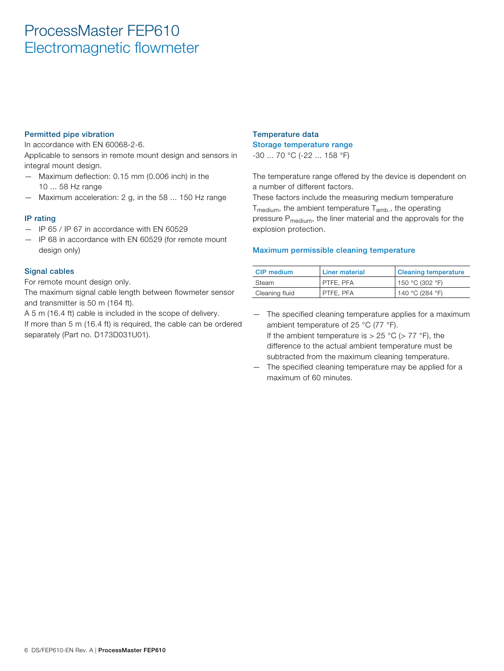#### Permitted pipe vibration

In accordance with EN 60068-2-6.

Applicable to sensors in remote mount design and sensors in integral mount design.

- Maximum deflection: 0.15 mm (0.006 inch) in the 10 ... 58 Hz range
- Maximum acceleration: 2 g, in the 58 ... 150 Hz range

#### IP rating

- IP 65 / IP 67 in accordance with EN 60529
- IP 68 in accordance with EN 60529 (for remote mount design only)

#### Signal cables

For remote mount design only.

The maximum signal cable length between flowmeter sensor and transmitter is 50 m (164 ft).

A 5 m (16.4 ft) cable is included in the scope of delivery. If more than 5 m (16.4 ft) is required, the cable can be ordered separately (Part no. D173D031U01).

### Temperature data Storage temperature range

-30 ... 70 °C (-22 ... 158 °F)

The temperature range offered by the device is dependent on a number of different factors.

These factors include the measuring medium temperature  $T_{\text{medium}}$ , the ambient temperature  $T_{\text{amb}}$ , the operating pressure P<sub>medium</sub>, the liner material and the approvals for the explosion protection.

#### Maximum permissible cleaning temperature

| <b>CIP</b> medium | <b>Liner material</b> | <b>Cleaning temperature</b> |
|-------------------|-----------------------|-----------------------------|
| Steam             | PTFE, PFA             | 150 °C (302 °F)             |
| Cleaning fluid    | PTFE, PFA             | 140 °C (284 °F)             |

- The specified cleaning temperature applies for a maximum ambient temperature of 25 °C (77 °F). If the ambient temperature is  $> 25$  °C ( $> 77$  °F), the difference to the actual ambient temperature must be subtracted from the maximum cleaning temperature.
- The specified cleaning temperature may be applied for a maximum of 60 minutes.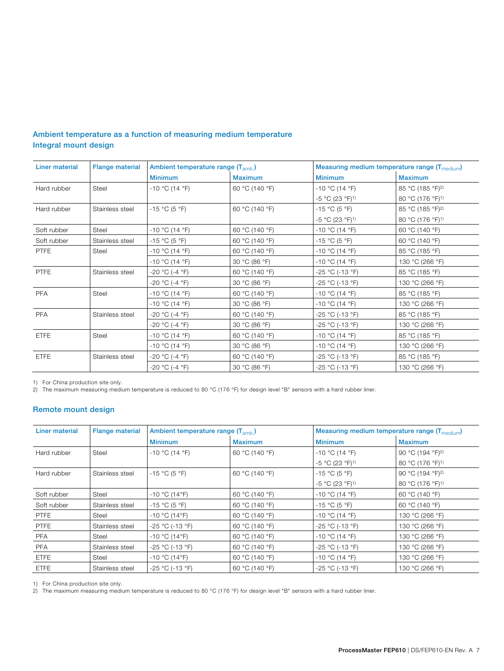| Liner material | <b>Flange material</b> | Ambient temperature range (T <sub>amb.</sub> ) |                |                               | Measuring medium temperature range (T <sub>medium</sub> ) |
|----------------|------------------------|------------------------------------------------|----------------|-------------------------------|-----------------------------------------------------------|
|                |                        | <b>Minimum</b>                                 | <b>Maximum</b> | <b>Minimum</b>                | <b>Maximum</b>                                            |
| Hard rubber    | Steel                  | $-10$ °C (14 °F)                               | 60 °C (140 °F) | $-10$ °C (14 °F)              | 85 °C (185 °F) <sup>2)</sup>                              |
|                |                        |                                                |                | $-5$ °C (23 °F) <sup>1)</sup> | 80 °C (176 °F) <sup>1)</sup>                              |
| Hard rubber    | Stainless steel        | $-15$ °C (5 °F)                                | 60 °C (140 °F) | $-15 °C (5 °F)$               | 85 °C (185 °F) <sup>2)</sup>                              |
|                |                        |                                                |                | $-5$ °C (23 °F) <sup>1)</sup> | 80 °C (176 °F) <sup>1)</sup>                              |
| Soft rubber    | Steel                  | $-10$ °C (14 °F)                               | 60 °C (140 °F) | $-10$ °C (14 °F)              | 60 °C (140 °F)                                            |
| Soft rubber    | Stainless steel        | $-15$ °C (5 °F)                                | 60 °C (140 °F) | $-15 °C (5 °F)$               | 60 °C (140 °F)                                            |
| <b>PTFE</b>    | Steel                  | $-10$ °C (14 °F)                               | 60 °C (140 °F) | $-10$ °C (14 °F)              | 85 °C (185 °F)                                            |
|                |                        | $-10$ °C (14 °F)                               | 30 °C (86 °F)  | $-10$ °C (14 °F)              | 130 °C (266 °F)                                           |
| <b>PTFE</b>    | Stainless steel        | $-20 °C (-4 °F)$                               | 60 °C (140 °F) | $-25 °C (-13 °F)$             | 85 °C (185 °F)                                            |
|                |                        | -20 °C (-4 °F)                                 | 30 °C (86 °F)  | $-25 °C (-13 °F)$             | 130 °C (266 °F)                                           |
| <b>PFA</b>     | Steel                  | $-10$ °C (14 °F)                               | 60 °C (140 °F) | $-10$ °C (14 °F)              | 85 °C (185 °F)                                            |
|                |                        | $-10$ °C (14 °F)                               | 30 °C (86 °F)  | $-10$ °C (14 °F)              | 130 °C (266 °F)                                           |
| <b>PFA</b>     | Stainless steel        | -20 °C (-4 °F)                                 | 60 °C (140 °F) | -25 °C (-13 °F)               | 85 °C (185 °F)                                            |
|                |                        | -20 °C (-4 °F)                                 | 30 °C (86 °F)  | $-25 °C (-13 °F)$             | 130 °C (266 °F)                                           |
| <b>ETFE</b>    | Steel                  | $-10$ °C (14 °F)                               | 60 °C (140 °F) | $-10$ °C (14 °F)              | 85 °C (185 °F)                                            |
|                |                        | $-10$ °C (14 °F)                               | 30 °C (86 °F)  | $-10$ °C (14 °F)              | 130 °C (266 °F)                                           |
| <b>ETFE</b>    | Stainless steel        | $-20 °C (-4 °F)$                               | 60 °C (140 °F) | $-25 °C (-13 °F)$             | 85 °C (185 °F)                                            |
|                |                        | -20 °C (-4 °F)                                 | 30 °C (86 °F)  | $-25 °C (-13 °F)$             | 130 °C (266 °F)                                           |

#### Ambient temperature as a function of measuring medium temperature Integral mount design

1) For China production site only.

2) The maximum measuring medium temperature is reduced to 80 °C (176 °F) for design level "B" sensors with a hard rubber liner.

#### Remote mount design

| Liner material | <b>Flange material</b> | Ambient temperature range $(T_{amb})$ |                | Measuring medium temperature range $(T_{medium})$ |                              |
|----------------|------------------------|---------------------------------------|----------------|---------------------------------------------------|------------------------------|
|                |                        | <b>Minimum</b>                        | <b>Maximum</b> | <b>Minimum</b>                                    | <b>Maximum</b>               |
| Hard rubber    | Steel                  | $-10$ °C (14 °F)                      | 60 °C (140 °F) | $-10$ °C (14 °F)                                  | 90 °C (194 °F) <sup>2)</sup> |
|                |                        |                                       |                | $-5$ °C (23 °F) <sup>1)</sup>                     | 80 °C (176 °F) <sup>1)</sup> |
| Hard rubber    | Stainless steel        | $-15$ °C (5 °F)                       | 60 °C (140 °F) | $-15 °C (5 °F)$                                   | 90 °C (194 °F) <sup>2)</sup> |
|                |                        |                                       |                | $-5$ °C (23 °F) <sup>1)</sup>                     | 80 °C (176 °F) <sup>1)</sup> |
| Soft rubber    | Steel                  | $-10$ °C (14°F)                       | 60 °C (140 °F) | $-10$ °C (14 °F)                                  | 60 °C (140 °F)               |
| Soft rubber    | Stainless steel        | $-15 °C (5 °F)$                       | 60 °C (140 °F) | $-15 °C (5 °F)$                                   | 60 °C (140 °F)               |
| <b>PTFE</b>    | Steel                  | $-10$ °C (14°F)                       | 60 °C (140 °F) | $-10 °C$ (14 °F)                                  | 130 °C (266 °F)              |
| <b>PTFE</b>    | Stainless steel        | $-25 °C (-13 °F)$                     | 60 °C (140 °F) | $-25 °C$ (-13 °F)                                 | 130 °C (266 °F)              |
| <b>PFA</b>     | Steel                  | $-10$ °C (14°F)                       | 60 °C (140 °F) | $-10 °C$ (14 °F)                                  | 130 °C (266 °F)              |
| <b>PFA</b>     | Stainless steel        | $-25 °C (-13 °F)$                     | 60 °C (140 °F) | $-25$ °C (-13 °F)                                 | 130 °C (266 °F)              |
| <b>ETFE</b>    | Steel                  | $-10$ °C (14°F)                       | 60 °C (140 °F) | $-10 °C$ (14 °F)                                  | 130 °C (266 °F)              |
| <b>ETFE</b>    | Stainless steel        | $-25 °C (-13 °F)$                     | 60 °C (140 °F) | $-25 °C$ (-13 °F)                                 | 130 °C (266 °F)              |

1) For China production site only.

2) The maximum measuring medium temperature is reduced to 80 °C (176 °F) for design level "B" sensors with a hard rubber liner.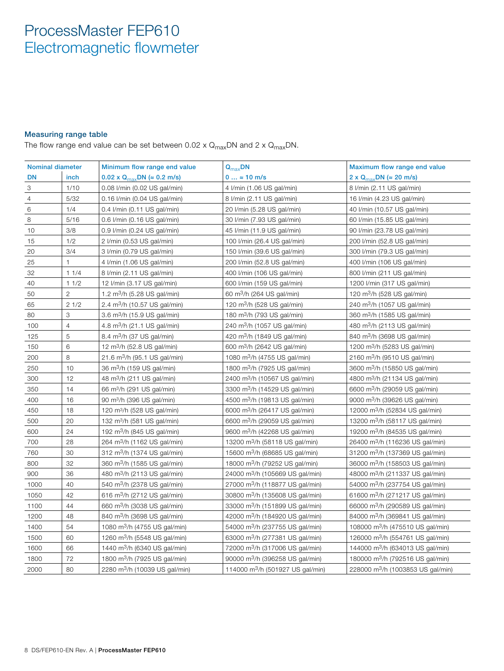#### Measuring range table

The flow range end value can be set between 0.02 x  $Q_{max}$ DN and 2 x  $Q_{max}$ DN.

| <b>Nominal diameter</b> |                | Minimum flow range end value              | $Q_{max}$ DN                                 | Maximum flow range end value                  |
|-------------------------|----------------|-------------------------------------------|----------------------------------------------|-----------------------------------------------|
| <b>DN</b>               | inch           | 0.02 x Q <sub>max</sub> DN (≈ 0.2 m/s)    | $0 \approx 10$ m/s                           | 2 x Q <sub>max</sub> DN ( $\approx$ 20 m/s)   |
| 3                       | 1/10           | 0.08 l/min (0.02 US gal/min)              | 4 I/min (1.06 US gal/min)                    | 8 I/min (2.11 US gal/min)                     |
| $\overline{4}$          | 5/32           | 0.16 I/min (0.04 US gal/min)              | 8 I/min (2.11 US gal/min)                    | 16 I/min (4.23 US gal/min)                    |
| 6                       | 1/4            | $0.4$ I/min (0.11 US gal/min)             | 20 I/min (5.28 US gal/min)                   | 40 I/min (10.57 US gal/min)                   |
| 8                       | 5/16           | 0.6 I/min (0.16 US gal/min)               | 30 I/min (7.93 US gal/min)                   | 60 I/min (15.85 US gal/min)                   |
| 10                      | 3/8            | 0.9 I/min (0.24 US gal/min)               | 45 I/min (11.9 US gal/min)                   | 90 I/min (23.78 US gal/min)                   |
| 15                      | 1/2            | 2 I/min (0.53 US gal/min)                 | 100 I/min (26.4 US gal/min)                  | 200 I/min (52.8 US gal/min)                   |
| 20                      | 3/4            | 3 I/min (0.79 US gal/min)                 | 150 I/min (39.6 US gal/min)                  | 300 I/min (79.3 US gal/min)                   |
| 25                      | $\mathbf{1}$   | 4 I/min (1.06 US gal/min)                 | 200 I/min (52.8 US gal/min)                  | 400 I/min (106 US gal/min)                    |
| 32                      | 11/4           | 8 I/min (2.11 US gal/min)                 | 400 I/min (106 US gal/min)                   | 800 I/min (211 US gal/min)                    |
| 40                      | 11/2           | 12 I/min (3.17 US gal/min)                | 600 I/min (159 US gal/min)                   | 1200 I/min (317 US gal/min)                   |
| 50                      | $\mathbf{2}$   | 1.2 m <sup>3</sup> /h (5.28 US gal/min)   | 60 m <sup>3</sup> /h (264 US gal/min)        | 120 m <sup>3</sup> /h (528 US gal/min)        |
| 65                      | 21/2           | 2.4 m <sup>3</sup> /h (10.57 US gal/min)  | 120 $m^3/h$ (528 US gal/min)                 | 240 m <sup>3</sup> /h (1057 US gal/min)       |
| 80                      | 3              | 3.6 m <sup>3</sup> /h (15.9 US gal/min)   | 180 m <sup>3</sup> /h (793 US gal/min)       | 360 m <sup>3</sup> /h (1585 US gal/min)       |
| 100                     | $\overline{4}$ | 4.8 m <sup>3</sup> /h (21.1 US gal/min)   | 240 m <sup>3</sup> /h (1057 US gal/min)      | 480 m <sup>3</sup> /h (2113 US gal/min)       |
| 125                     | 5              | 8.4 m <sup>3</sup> /h (37 US gal/min)     | 420 m <sup>3</sup> /h (1849 US gal/min)      | 840 m <sup>3</sup> /h (3698 US gal/min)       |
| 150                     | 6              | 12 m <sup>3</sup> /h (52.8 US gal/min)    | 600 m <sup>3</sup> /h (2642 US gal/min)      | 1200 m <sup>3</sup> /h (5283 US gal/min)      |
| 200                     | 8              | 21.6 m <sup>3</sup> /h (95.1 US gal/min)  | 1080 m <sup>3</sup> /h (4755 US gal/min)     | 2160 m <sup>3</sup> /h (9510 US gal/min)      |
| 250                     | 10             | 36 m <sup>3</sup> /h (159 US gal/min)     | 1800 m <sup>3</sup> /h (7925 US gal/min)     | 3600 m <sup>3</sup> /h (15850 US gal/min)     |
| 300                     | 12             | 48 m <sup>3</sup> /h (211 US gal/min)     | 2400 m <sup>3</sup> /h (10567 US gal/min)    | 4800 m <sup>3</sup> /h (21134 US gal/min)     |
| 350                     | 14             | 66 m <sup>3</sup> /h (291 US gal/min)     | 3300 m <sup>3</sup> /h (14529 US gal/min)    | 6600 m <sup>3</sup> /h (29059 US gal/min)     |
| 400                     | 16             | 90 m <sup>3</sup> /h (396 US gal/min)     | 4500 m <sup>3</sup> /h (19813 US gal/min)    | 9000 m <sup>3</sup> /h (39626 US gal/min)     |
| 450                     | 18             | 120 m <sup>3</sup> /h (528 US gal/min)    | 6000 m <sup>3</sup> /h (26417 US gal/min)    | 12000 m <sup>3</sup> /h (52834 US gal/min)    |
| 500                     | 20             | 132 m <sup>3</sup> /h (581 US gal/min)    | 6600 m <sup>3</sup> /h (29059 US gal/min)    | 13200 m <sup>3</sup> /h (58117 US gal/min)    |
| 600                     | 24             | 192 m <sup>3</sup> /h (845 US gal/min)    | 9600 m <sup>3</sup> /h (42268 US gal/min)    | 19200 m <sup>3</sup> /h (84535 US gal/min)    |
| 700                     | 28             | 264 m <sup>3</sup> /h (1162 US gal/min)   | 13200 m <sup>3</sup> /h (58118 US gal/min)   | 26400 m <sup>3</sup> /h (116236 US gal/min)   |
| 760                     | 30             | 312 m <sup>3</sup> /h (1374 US gal/min)   | 15600 m <sup>3</sup> /h (68685 US gal/min)   | 31200 m <sup>3</sup> /h (137369 US gal/min)   |
| 800                     | 32             | 360 m <sup>3</sup> /h (1585 US gal/min)   | 18000 m <sup>3</sup> /h (79252 US gal/min)   | 36000 m <sup>3</sup> /h (158503 US gal/min)   |
| 900                     | 36             | 480 m <sup>3</sup> /h (2113 US gal/min)   | 24000 m <sup>3</sup> /h (105669 US gal/min)  | 48000 m <sup>3</sup> /h (211337 US gal/min)   |
| 1000                    | 40             | 540 m <sup>3</sup> /h (2378 US gal/min)   | 27000 m <sup>3</sup> /h (118877 US gal/min)  | 54000 m <sup>3</sup> /h (237754 US gal/min)   |
| 1050                    | 42             | 616 m <sup>3</sup> /h (2712 US gal/min)   | 30800 m <sup>3</sup> /h (135608 US gal/min)  | 61600 m <sup>3</sup> /h (271217 US gal/min)   |
| 1100                    | 44             | 660 m <sup>3</sup> /h (3038 US gal/min)   | 33000 m <sup>3</sup> /h (151899 US gal/min)  | 66000 m <sup>3</sup> /h (290589 US gal/min)   |
| 1200                    | 48             | 840 m <sup>3</sup> /h (3698 US gal/min)   | 42000 m <sup>3</sup> /h (184920 US gal/min)  | 84000 m <sup>3</sup> /h (369841 US gal/min)   |
| 1400                    | 54             | 1080 m <sup>3</sup> /h (4755 US gal/min)  | 54000 m <sup>3</sup> /h (237755 US gal/min)  | 108000 m <sup>3</sup> /h (475510 US gal/min)  |
| 1500                    | 60             | 1260 m <sup>3</sup> /h (5548 US gal/min)  | 63000 m <sup>3</sup> /h (277381 US gal/min)  | 126000 m <sup>3</sup> /h (554761 US gal/min)  |
| 1600                    | 66             | 1440 m <sup>3</sup> /h (6340 US gal/min)  | 72000 m <sup>3</sup> /h (317006 US gal/min)  | 144000 m <sup>3</sup> /h (634013 US gal/min)  |
| 1800                    | 72             | 1800 m <sup>3</sup> /h (7925 US gal/min)  | 90000 m <sup>3</sup> /h (396258 US gal/min)  | 180000 m <sup>3</sup> /h (792516 US gal/min)  |
| 2000                    | 80             | 2280 m <sup>3</sup> /h (10039 US gal/min) | 114000 m <sup>3</sup> /h (501927 US gal/min) | 228000 m <sup>3</sup> /h (1003853 US gal/min) |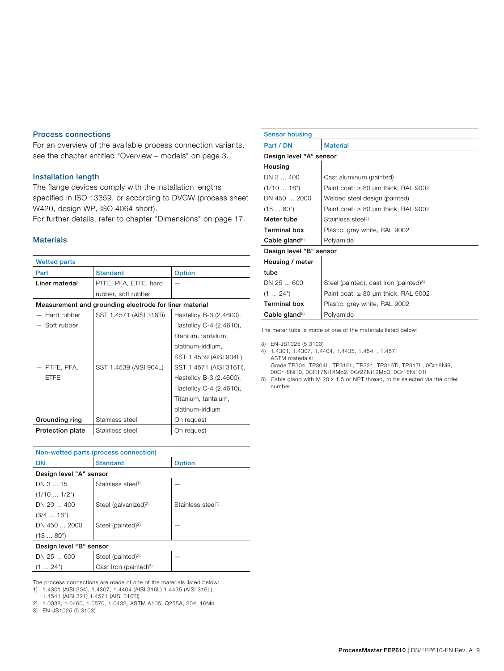#### Process connections

For an overview of the available process connection variants, see the chapter entitled "Overview – models" on page 3.

#### Installation length

The flange devices comply with the installation lengths specified in ISO 13359, or according to DVGW (process sheet W420, design WP, ISO 4064 short).

For further details, refer to chapter "Dimensions" on page 17.

#### Materials

| <b>Wetted parts</b>     |                                                        |                          |
|-------------------------|--------------------------------------------------------|--------------------------|
| Part                    | <b>Standard</b>                                        | <b>Option</b>            |
| Liner material          | PTFE, PFA, ETFE, hard                                  |                          |
|                         | rubber, soft rubber                                    |                          |
|                         | Measurement and grounding electrode for liner material |                          |
| Hard rubber             | SST 1.4571 (AISI 316Ti)                                | Hastelloy B-3 (2.4600),  |
| Soft rubber             |                                                        | Hastelloy C-4 (2.4610),  |
|                         |                                                        | titanium, tantalum,      |
|                         |                                                        | platinum-iridium,        |
|                         |                                                        | SST 1.4539 (AISI 904L)   |
| PTFE, PFA,              | SST 1.4539 (AISI 904L)                                 | SST 1.4571 (AISI 316Ti), |
| <b>ETFE</b>             |                                                        | Hastelloy B-3 (2.4600),  |
|                         |                                                        | Hastelloy C-4 (2.4610),  |
|                         |                                                        | Titanium, tantalum,      |
|                         |                                                        | platinum-iridium         |
| Grounding ring          | Stainless steel                                        | On request               |
| <b>Protection plate</b> | Stainless steel                                        | On request               |

| Non-wetted parts (process connection) |                                   |                               |  |  |  |
|---------------------------------------|-----------------------------------|-------------------------------|--|--|--|
| <b>DN</b>                             | <b>Standard</b>                   | <b>Option</b>                 |  |  |  |
|                                       | Design level "A" sensor           |                               |  |  |  |
| DN 3  15                              | Stainless steel <sup>1)</sup>     |                               |  |  |  |
| (1/101/2")                            |                                   |                               |  |  |  |
| DN 20  400                            | Steel (galvanized) <sup>2)</sup>  | Stainless steel <sup>1)</sup> |  |  |  |
| (3/416")                              |                                   |                               |  |  |  |
| DN 450  2000                          | Steel (painted) <sup>2)</sup>     |                               |  |  |  |
| (1880")                               |                                   |                               |  |  |  |
| Design level "B" sensor               |                                   |                               |  |  |  |
| DN 25  600                            | Steel (painted) <sup>2)</sup>     |                               |  |  |  |
| (1 24")                               | Cast Iron (painted) <sup>3)</sup> |                               |  |  |  |

The process connections are made of one of the materials listed below: 1) 1.4301 (AISI 304), 1.4307, 1.4404 (AISI 316L) 1.4435 (AISI 316L),

1.4541 (AISI 321) 1.4571 (AISI 316Ti)

3) EN-JS1025 (5.3103)

| <b>Sensor housing</b>     |                                                    |
|---------------------------|----------------------------------------------------|
| Part / DN                 | <b>Material</b>                                    |
| Design level "A" sensor   |                                                    |
| Housing                   |                                                    |
| DN 3  400                 | Cast aluminum (painted)                            |
| (1/1016")                 | Paint coat: $\geq 80$ µm thick, RAL 9002           |
| DN 450  2000              | Welded steel design (painted)                      |
| (1880")                   | Paint coat: $\geq 80$ µm thick, RAL 9002           |
| Meter tube                | Stainless steel <sup>4)</sup>                      |
| <b>Terminal box</b>       | Plastic, gray white, RAL 9002                      |
| Cable gland <sup>5)</sup> | Polyamide                                          |
| Design level "B" sensor   |                                                    |
| Housing / meter           |                                                    |
| tube                      |                                                    |
| DN 25  600                | Steel (painted), cast Iron (painted) <sup>3)</sup> |
| (1 24")                   | Paint coat: $\geq 80$ µm thick, RAL 9002           |
| <b>Terminal box</b>       | Plastic, gray white, RAL 9002                      |
| Cable gland <sup>5)</sup> | Polyamide                                          |

The meter tube is made of one of the materials listed below:

3) EN-JS1025 (5.3103)

4) 1.4301, 1.4307, 1.4404, 1.4435, 1.4541, 1.4571 ASTM materials: Grade TP304, TP304L, TP316L, TP321, TP316Ti, TP317L, 0Cr18Ni9,

00Cr18Ni10, 0CR17Ni14Mo2, 0Cr27Ni12Mo3, 0Cr18Ni10Ti

5) Cable gland with M 20 x 1.5 or NPT thread, to be selected via the order number.

<sup>2) 1.0038, 1.0460, 1.0570, 1.0432,</sup> ASTM A105, Q255A, 20#, 16Mn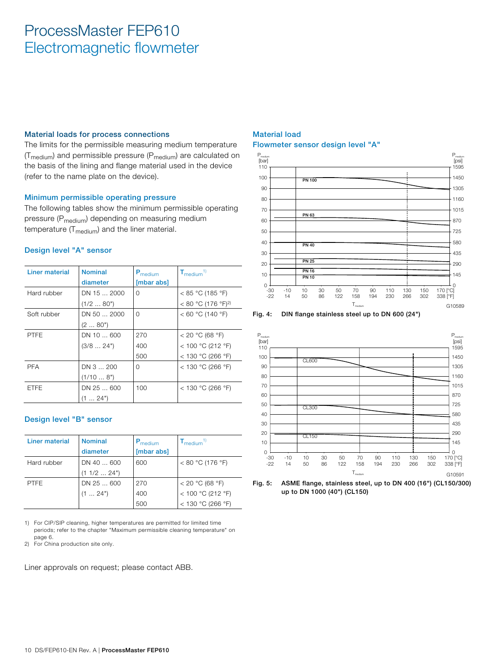#### Material loads for process connections

The limits for the permissible measuring medium temperature  $(T_{\text{medium}})$  and permissible pressure ( $P_{\text{medium}}$ ) are calculated on the basis of the lining and flange material used in the device (refer to the name plate on the device).

#### Minimum permissible operating pressure

The following tables show the minimum permissible operating pressure (P<sub>medium</sub>) depending on measuring medium temperature  $(T_{medium})$  and the liner material.

#### Design level "A" sensor

| Liner material | <b>Nominal</b><br>diameter        | P <sub>medium</sub><br>[mbar abs] | $T_{\text{medium}}$ <sup>1)</sup>                           |
|----------------|-----------------------------------|-----------------------------------|-------------------------------------------------------------|
| Hard rubber    | $DN$ 15 $$ 2000<br>(1/280")       | $\Omega$                          | < 85 °C (185 °F)<br>< 80 °C (176 °F) <sup>2)</sup>          |
| Soft rubber    | $DN$ 50 $$ 2000<br>(280")         | $\Omega$                          | < 60 °C (140 °F)                                            |
| <b>PTFE</b>    | DN 10  600<br>(3/824")            | 270<br>400<br>500                 | < 20 °C (68 °F)<br>< 100 °C (212 °F)<br>$<$ 130 °C (266 °F) |
| <b>PFA</b>     | DN 3  200<br>(1/108")             | $\Omega$                          | $<$ 130 °C (266 °F)                                         |
| <b>ETFE</b>    | $DN$ 25 $$ 600<br>$(1 \dots 24")$ | 100                               | $<$ 130 °C (266 °F)                                         |

#### Design level "B" sensor

| Liner material | <b>Nominal</b><br>diameter | $P_{\text{medium}}$<br>[mbar abs] | $T_{\text{medium}}$ <sup>1)</sup> |
|----------------|----------------------------|-----------------------------------|-----------------------------------|
| Hard rubber    | DN 40  600<br>(1 1/2  24") | 600                               | $< 80 °C$ (176 °F)                |
| <b>PTFE</b>    | DN 25  600                 | 270                               | < 20 °C (68 °F)                   |
|                | $(1 \ldots 24")$           | 400                               | < 100 °C (212 °F)                 |
|                |                            | 500                               | < 130 °C (266 °F)                 |

1) For CIP/SIP cleaning, higher temperatures are permitted for limited time periods; refer to the chapter "Maximum permissible cleaning temperature" on page 6.

2) For China production site only.

Liner approvals on request; please contact ABB.

#### Material load Flowmeter sensor design level "A"







Fig. 5: ASME flange, stainless steel, up to DN 400 (16") (CL150/300) up to DN 1000 (40") (CL150)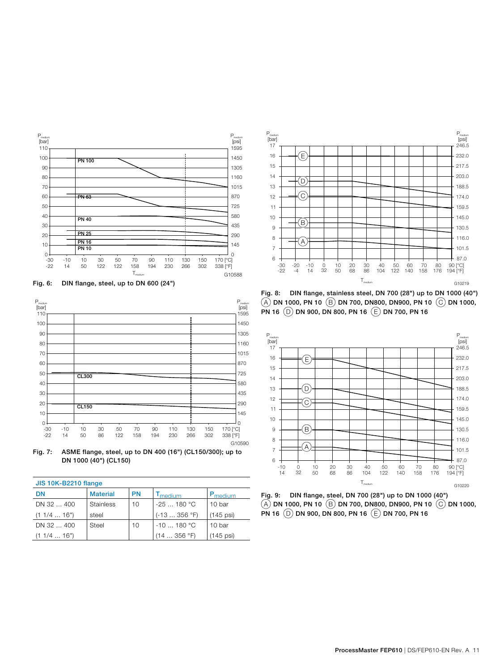

Fig. 6: DIN flange, steel, up to DN 600 (24")



Fig. 7: ASME flange, steel, up to DN 400 (16") (CL150/300); up to DN 1000 (40") (CL150)

| <b>JIS 10K-B2210 flange</b> |                  |           |                            |                     |  |  |  |  |  |  |
|-----------------------------|------------------|-----------|----------------------------|---------------------|--|--|--|--|--|--|
| DN                          | <b>Material</b>  | <b>PN</b> | <b>T</b> <sub>medium</sub> | P <sub>medium</sub> |  |  |  |  |  |  |
| DN 32  400                  | <b>Stainless</b> | 10        | $-25180 °C$                | 10 bar              |  |  |  |  |  |  |
| (11/416")                   | steel            |           | $(-13356 °F)$              | $(145$ psi)         |  |  |  |  |  |  |
| DN 32  400                  | Steel            | 10        | $-10180 °C$                | 10 bar              |  |  |  |  |  |  |
| (11/416")                   |                  |           | (14356 °F)                 | $(145$ psi)         |  |  |  |  |  |  |



Fig. 8: DIN flange, stainless steel, DN 700 (28") up to DN 1000 (40")  $(A)$  DN 1000, PN 10  $(B)$  DN 700, DN800, DN900, PN 10  $(C)$  DN 1000, PN 16  $(D)$  DN 900, DN 800, PN 16  $(E)$  DN 700, PN 16



Fig. 9: DIN flange, steel, DN 700 (28") up to DN 1000 (40")  $(A)$  DN 1000, PN 10  $(B)$  DN 700, DN800, DN900, PN 10  $(C)$  DN 1000, PN 16  $(D)$  DN 900, DN 800, PN 16  $(E)$  DN 700, PN 16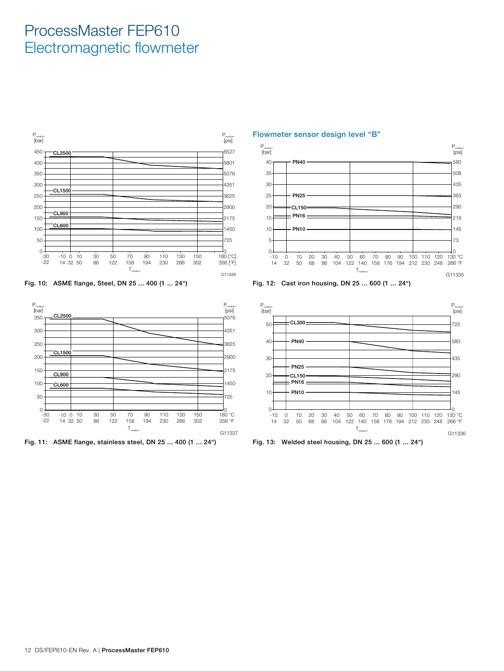







Flowmeter sensor design level "B"



Fig. 12: Cast iron housing, DN 25 ... 600 (1 ... 24")



Fig. 13: Welded steel housing, DN 25 ... 600 (1 ... 24")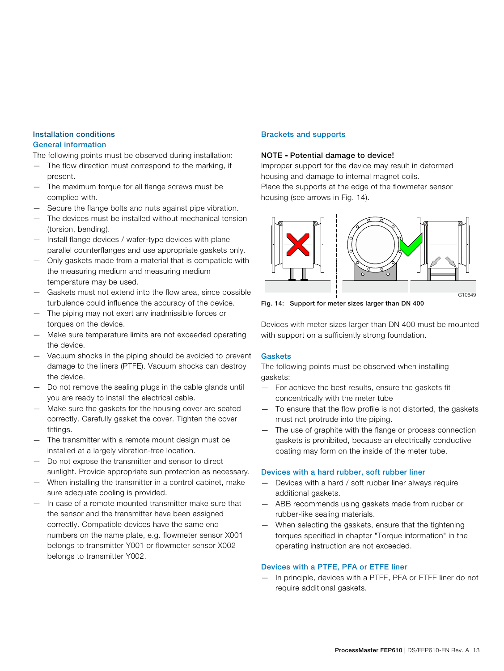### Installation conditions

#### General information

The following points must be observed during installation:

- The flow direction must correspond to the marking, if present.
- The maximum torque for all flange screws must be complied with.
- Secure the flange bolts and nuts against pipe vibration.
- The devices must be installed without mechanical tension (torsion, bending).
- Install flange devices / wafer-type devices with plane parallel counterflanges and use appropriate gaskets only.
- Only gaskets made from a material that is compatible with the measuring medium and measuring medium temperature may be used.
- Gaskets must not extend into the flow area, since possible turbulence could influence the accuracy of the device.
- The piping may not exert any inadmissible forces or torques on the device.
- Make sure temperature limits are not exceeded operating the device.
- Vacuum shocks in the piping should be avoided to prevent damage to the liners (PTFE). Vacuum shocks can destroy the device.
- Do not remove the sealing plugs in the cable glands until you are ready to install the electrical cable.
- Make sure the gaskets for the housing cover are seated correctly. Carefully gasket the cover. Tighten the cover fittings.
- The transmitter with a remote mount design must be installed at a largely vibration-free location.
- Do not expose the transmitter and sensor to direct sunlight. Provide appropriate sun protection as necessary.
- When installing the transmitter in a control cabinet, make sure adequate cooling is provided.
- In case of a remote mounted transmitter make sure that the sensor and the transmitter have been assigned correctly. Compatible devices have the same end numbers on the name plate, e.g. flowmeter sensor X001 belongs to transmitter Y001 or flowmeter sensor X002 belongs to transmitter Y002.

#### Brackets and supports

#### NOTE **-** Potential damage to device!

Improper support for the device may result in deformed housing and damage to internal magnet coils.

Place the supports at the edge of the flowmeter sensor housing (see arrows in Fig. 14).



Fig. 14: Support for meter sizes larger than DN 400

Devices with meter sizes larger than DN 400 must be mounted with support on a sufficiently strong foundation.

#### **Gaskets**

The following points must be observed when installing gaskets:

- For achieve the best results, ensure the gaskets fit concentrically with the meter tube
- To ensure that the flow profile is not distorted, the gaskets must not protrude into the piping.
- The use of graphite with the flange or process connection gaskets is prohibited, because an electrically conductive coating may form on the inside of the meter tube.

#### Devices with a hard rubber, soft rubber liner

- Devices with a hard / soft rubber liner always require additional gaskets.
- ABB recommends using gaskets made from rubber or rubber-like sealing materials.
- When selecting the gaskets, ensure that the tightening torques specified in chapter "Torque information" in the operating instruction are not exceeded.

#### Devices with a PTFE, PFA or ETFE liner

— In principle, devices with a PTFE, PFA or ETFE liner do not require additional gaskets.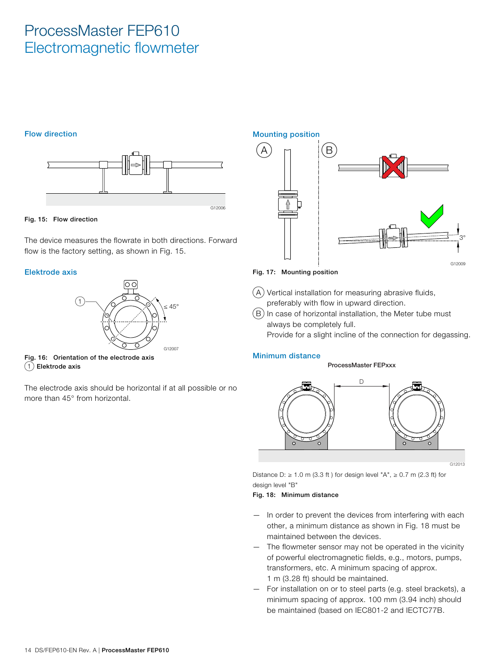#### Flow direction



#### Fig. 15: Flow direction

The device measures the flowrate in both directions. Forward flow is the factory setting, as shown in Fig. 15.

#### Elektrode axis



Fig. 16: Orientation of the electrode axis  $(1)$  Elektrode axis

The electrode axis should be horizontal if at all possible or no more than 45° from horizontal.

 $(A)$   $\cap$   $|(B)$ 



Fig. 17: Mounting position

Mounting position

 $(A)$  Vertical installation for measuring abrasive fluids, preferably with flow in upward direction.

 $(B)$  In case of horizontal installation, the Meter tube must always be completely full.

Provide for a slight incline of the connection for degassing.

#### Minimum distance

#### ProcessMaster FEPxxx



G12013

Distance D:  $\geq$  1.0 m (3.3 ft ) for design level "A",  $\geq$  0.7 m (2.3 ft) for design level "B"

#### Fig. 18: Minimum distance

- In order to prevent the devices from interfering with each other, a minimum distance as shown in Fig. 18 must be maintained between the devices.
- The flowmeter sensor may not be operated in the vicinity of powerful electromagnetic fields, e.g., motors, pumps, transformers, etc. A minimum spacing of approx. 1 m (3.28 ft) should be maintained.
- For installation on or to steel parts (e.g. steel brackets), a minimum spacing of approx. 100 mm (3.94 inch) should be maintained (based on IEC801-2 and IECTC77B.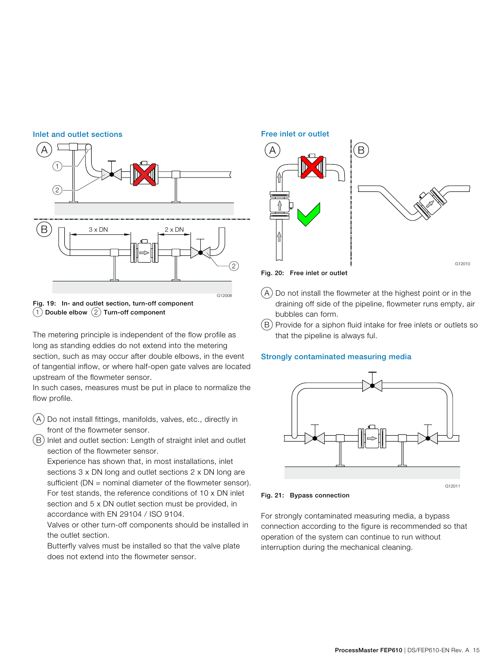



The metering principle is independent of the flow profile as long as standing eddies do not extend into the metering section, such as may occur after double elbows, in the event of tangential inflow, or where half-open gate valves are located upstream of the flowmeter sensor.

In such cases, measures must be put in place to normalize the flow profile.

- $(A)$  Do not install fittings, manifolds, valves, etc., directly in front of the flowmeter sensor.
- B Inlet and outlet section: Length of straight inlet and outlet section of the flowmeter sensor.

 Experience has shown that, in most installations, inlet sections 3 x DN long and outlet sections 2 x DN long are sufficient (DN = nominal diameter of the flowmeter sensor). For test stands, the reference conditions of 10 x DN inlet section and 5 x DN outlet section must be provided, in accordance with EN 29104 / ISO 9104.

 Valves or other turn-off components should be installed in the outlet section.

 Butterfly valves must be installed so that the valve plate does not extend into the flowmeter sensor.



Fig. 20: Free inlet or outlet

- $(A)$  Do not install the flowmeter at the highest point or in the draining off side of the pipeline, flowmeter runs empty, air bubbles can form.
- $(B)$  Provide for a siphon fluid intake for free inlets or outlets so that the pipeline is always ful.

#### Strongly contaminated measuring media



Fig. 21: Bypass connection

For strongly contaminated measuring media, a bypass connection according to the figure is recommended so that operation of the system can continue to run without interruption during the mechanical cleaning.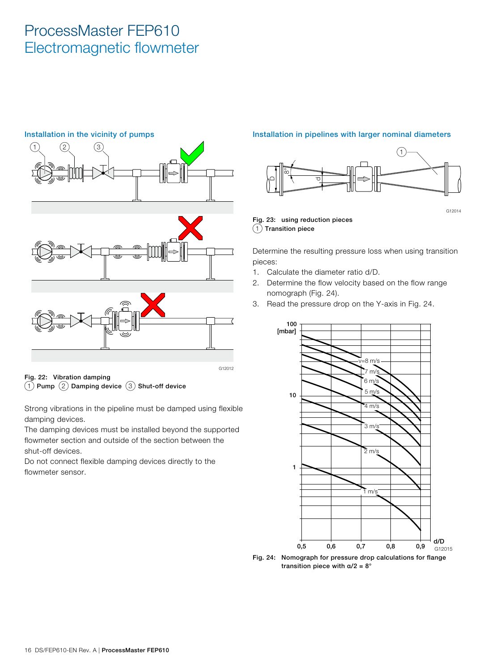

 $(1)$  Pump  $(2)$  Damping device  $(3)$  Shut-off device

Strong vibrations in the pipeline must be damped using flexible damping devices.

The damping devices must be installed beyond the supported flowmeter section and outside of the section between the shut-off devices.

Do not connect flexible damping devices directly to the flowmeter sensor.

#### Installation in pipelines with larger nominal diameters



Fig. 23: using reduction pieces  $(1)$  Transition piece

Determine the resulting pressure loss when using transition pieces:

- 1. Calculate the diameter ratio d/D.
- 2. Determine the flow velocity based on the flow range nomograph (Fig. 24).
- 3. Read the pressure drop on the Y-axis in Fig. 24.



transition piece with  $\alpha/2 = 8^\circ$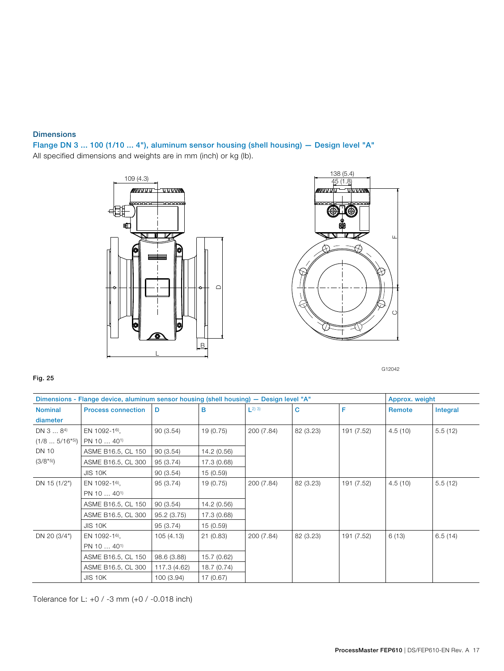#### **Dimensions**

Flange DN 3 ... 100 (1/10 ... 4"), aluminum sensor housing (shell housing) — Design level "A" All specified dimensions and weights are in mm (inch) or kg (lb).





G12042

#### Fig. 25

|                            | Dimensions - Flange device, aluminum sensor housing (shell housing) - Design level "A" |              |             |                        |           |            | Approx. weight |          |
|----------------------------|----------------------------------------------------------------------------------------|--------------|-------------|------------------------|-----------|------------|----------------|----------|
| <b>Nominal</b>             | <b>Process connection</b>                                                              | D            | в           | $\lfloor 2 \rfloor$ 3) | С         | F          | Remote         | Integral |
| diameter                   |                                                                                        |              |             |                        |           |            |                |          |
| DN 3  84)                  | EN 1092-16),                                                                           | 90(3.54)     | 19 (0.75)   | 200 (7.84)             | 82 (3.23) | 191 (7.52) | 4.5(10)        | 5.5(12)  |
| $(1/85/16"$ <sup>5</sup> ) | PN 10  40 <sup>1)</sup>                                                                |              |             |                        |           |            |                |          |
| <b>DN 10</b>               | ASME B16.5, CL 150                                                                     | 90(3.54)     | 14.2 (0.56) |                        |           |            |                |          |
| (3/8"5)                    | ASME B16.5, CL 300                                                                     | 95 (3.74)    | 17.3 (0.68) |                        |           |            |                |          |
|                            | <b>JIS 10K</b>                                                                         | 90(3.54)     | 15(0.59)    |                        |           |            |                |          |
| DN 15 (1/2")               | EN 1092-16),                                                                           | 95 (3.74)    | 19 (0.75)   | 200 (7.84)             | 82 (3.23) | 191 (7.52) | 4.5(10)        | 5.5(12)  |
|                            | PN 10  40 <sup>1)</sup>                                                                |              |             |                        |           |            |                |          |
|                            | ASME B16.5, CL 150                                                                     | 90(3.54)     | 14.2 (0.56) |                        |           |            |                |          |
|                            | ASME B16.5, CL 300                                                                     | 95.2(3.75)   | 17.3 (0.68) |                        |           |            |                |          |
|                            | JIS 10K                                                                                | 95 (3.74)    | 15 (0.59)   |                        |           |            |                |          |
| DN 20 (3/4")               | EN 1092-16),                                                                           | 105 (4.13)   | 21(0.83)    | 200 (7.84)             | 82 (3.23) | 191 (7.52) | 6(13)          | 6.5(14)  |
|                            | PN 10  40 <sup>1</sup>                                                                 |              |             |                        |           |            |                |          |
|                            | ASME B16.5, CL 150                                                                     | 98.6 (3.88)  | 15.7 (0.62) |                        |           |            |                |          |
|                            | ASME B16.5, CL 300                                                                     | 117.3 (4.62) | 18.7 (0.74) |                        |           |            |                |          |
|                            | <b>JIS 10K</b>                                                                         | 100 (3.94)   | 17 (0.67)   |                        |           |            |                |          |

Tolerance for L: +0 / -3 mm (+0 / -0.018 inch)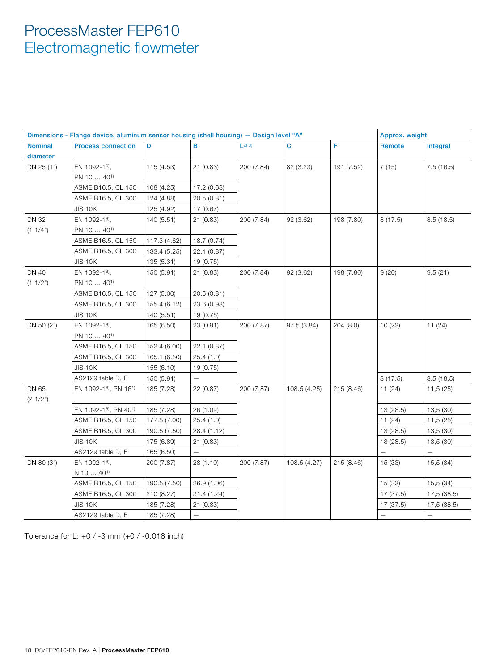|                | Dimensions - Flange device, aluminum sensor housing (shell housing) - Design level "A" |              |             |                        |              |            | Approx. weight           |             |  |
|----------------|----------------------------------------------------------------------------------------|--------------|-------------|------------------------|--------------|------------|--------------------------|-------------|--|
| <b>Nominal</b> | <b>Process connection</b>                                                              | D            | B           | $\lfloor 2 \rfloor$ 3) | C            | F          | Remote                   | Integral    |  |
| diameter       |                                                                                        |              |             |                        |              |            |                          |             |  |
| DN 25 (1")     | EN 1092-16),                                                                           | 115 (4.53)   | 21 (0.83)   | 200 (7.84)             | 82 (3.23)    | 191 (7.52) | 7(15)                    | 7.5(16.5)   |  |
|                | PN 10  40 <sup>1)</sup>                                                                |              |             |                        |              |            |                          |             |  |
|                | ASME B16.5, CL 150                                                                     | 108 (4.25)   | 17.2 (0.68) |                        |              |            |                          |             |  |
|                | ASME B16.5, CL 300                                                                     | 124 (4.88)   | 20.5(0.81)  |                        |              |            |                          |             |  |
|                | <b>JIS 10K</b>                                                                         | 125 (4.92)   | 17 (0.67)   |                        |              |            |                          |             |  |
| <b>DN 32</b>   | EN 1092-1 <sup>6</sup> ,                                                               | 140 (5.51)   | 21(0.83)    | 200 (7.84)             | 92 (3.62)    | 198 (7.80) | 8(17.5)                  | 8.5(18.5)   |  |
| (1 1/4")       | PN 10  40 <sup>1</sup>                                                                 |              |             |                        |              |            |                          |             |  |
|                | ASME B16.5, CL 150                                                                     | 117.3 (4.62) | 18.7 (0.74) |                        |              |            |                          |             |  |
|                | ASME B16.5, CL 300                                                                     | 133.4 (5.25) | 22.1 (0.87) |                        |              |            |                          |             |  |
|                | <b>JIS 10K</b>                                                                         | 135 (5.31)   | 19 (0.75)   |                        |              |            |                          |             |  |
| <b>DN 40</b>   | EN 1092-16),                                                                           | 150 (5.91)   | 21 (0.83)   | 200 (7.84)             | 92 (3.62)    | 198 (7.80) | 9(20)                    | 9.5(21)     |  |
| (1 1/2")       | PN 10 $\dots$ 40 <sup>1)</sup>                                                         |              |             |                        |              |            |                          |             |  |
|                | ASME B16.5, CL 150                                                                     | 127 (5.00)   | 20.5(0.81)  |                        |              |            |                          |             |  |
|                | ASME B16.5, CL 300                                                                     | 155.4 (6.12) | 23.6 (0.93) |                        |              |            |                          |             |  |
|                | <b>JIS 10K</b>                                                                         | 140 (5.51)   | 19 (0.75)   |                        |              |            |                          |             |  |
| DN 50 (2")     | EN 1092-16),                                                                           | 165 (6.50)   | 23 (0.91)   | 200 (7.87)             | 97.5 (3.84)  | 204(8.0)   | 10(22)                   | 11(24)      |  |
|                | PN 10  40 <sup>1)</sup>                                                                |              |             |                        |              |            |                          |             |  |
|                | ASME B16.5, CL 150                                                                     | 152.4 (6.00) | 22.1 (0.87) |                        |              |            |                          |             |  |
|                | ASME B16.5, CL 300                                                                     | 165.1 (6.50) | 25.4(1.0)   |                        |              |            |                          |             |  |
|                | <b>JIS 10K</b>                                                                         | 155 (6.10)   | 19 (0.75)   |                        |              |            |                          |             |  |
|                | AS2129 table D, E                                                                      | 150 (5.91)   |             |                        |              |            | 8(17.5)                  | 8.5(18.5)   |  |
| DN 65          | EN 1092-1 <sup>6</sup> , PN 16 <sup>1)</sup>                                           | 185 (7.28)   | 22(0.87)    | 200 (7.87)             | 108.5 (4.25) | 215 (8.46) | 11(24)                   | 11,5(25)    |  |
| (21/2")        |                                                                                        |              |             |                        |              |            |                          |             |  |
|                | EN 1092-16), PN 401)                                                                   | 185 (7.28)   | 26 (1.02)   |                        |              |            | 13 (28.5)                | 13,5 (30)   |  |
|                | ASME B16.5, CL 150                                                                     | 177.8 (7.00) | 25.4(1.0)   |                        |              |            | 11(24)                   | 11,5 (25)   |  |
|                | ASME B16.5, CL 300                                                                     | 190.5 (7.50) | 28.4 (1.12) |                        |              |            | 13 (28.5)                | 13,5 (30)   |  |
|                | <b>JIS 10K</b>                                                                         | 175 (6.89)   | 21(0.83)    |                        |              |            | 13 (28.5)                | 13,5 (30)   |  |
|                | AS2129 table D, E                                                                      | 165 (6.50)   |             |                        |              |            |                          |             |  |
| DN 80 (3")     | EN 1092-16),                                                                           | 200 (7.87)   | 28 (1.10)   | 200 (7.87)             | 108.5 (4.27) | 215 (8.46) | 15(33)                   | 15,5(34)    |  |
|                | $N$ 10 $\dots$ 40 <sup>1)</sup>                                                        |              |             |                        |              |            |                          |             |  |
|                | ASME B16.5, CL 150                                                                     | 190.5 (7.50) | 26.9 (1.06) |                        |              |            | 15 (33)                  | 15,5 (34)   |  |
|                | ASME B16.5, CL 300                                                                     | 210 (8.27)   | 31.4 (1.24) |                        |              |            | 17 (37.5)                | 17,5 (38.5) |  |
|                | <b>JIS 10K</b>                                                                         | 185 (7.28)   | 21(0.83)    |                        |              |            | 17 (37.5)                | 17,5 (38.5) |  |
|                | AS2129 table D, E                                                                      | 185 (7.28)   |             |                        |              |            | $\overline{\phantom{0}}$ | $\equiv$    |  |

Tolerance for L: +0 / -3 mm (+0 / -0.018 inch)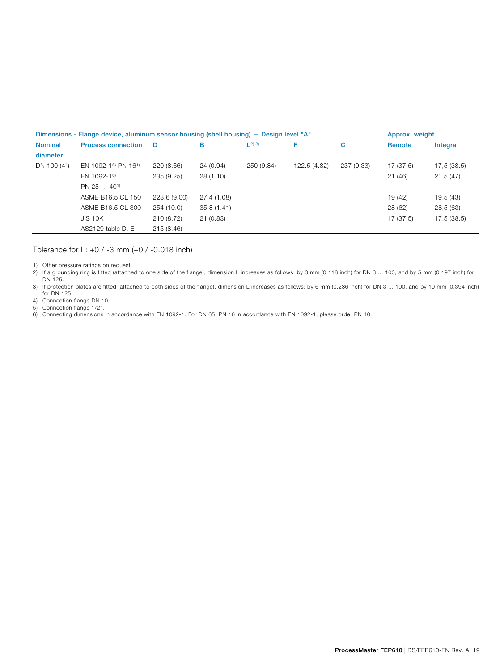|                            | Dimensions - Flange device, aluminum sensor housing (shell housing) - Design level "A" |              |                          |                        |              | Approx. weight |           |             |
|----------------------------|----------------------------------------------------------------------------------------|--------------|--------------------------|------------------------|--------------|----------------|-----------|-------------|
| <b>Nominal</b><br>diameter | <b>Process connection</b>                                                              | D            | в                        | $\lfloor 2 \rfloor$ 3) |              | C              | Remote    | Integral    |
| DN 100 (4")                | EN 1092-16) PN 161)                                                                    | 220 (8.66)   | 24 (0.94)                | 250 (9.84)             | 122.5 (4.82) | 237 (9.33)     | 17 (37.5) | 17,5 (38.5) |
|                            | EN 1092-16)                                                                            | 235 (9.25)   | 28(1.10)                 |                        |              |                | 21(46)    | 21,5(47)    |
|                            | $PN$ 25 $\ldots$ 40 <sup>1</sup>                                                       |              |                          |                        |              |                |           |             |
|                            | ASME B16.5 CL 150                                                                      | 228.6 (9.00) | 27.4 (1.08)              |                        |              |                | 19 (42)   | 19,5 (43)   |
|                            | ASME B16.5 CL 300                                                                      | 254 (10.0)   | 35.8(1.41)               |                        |              |                | 28 (62)   | 28,5 (63)   |
|                            | <b>JIS 10K</b>                                                                         | 210 (8.72)   | 21(0.83)                 |                        |              |                | 17 (37.5) | 17,5 (38.5) |
|                            | AS2129 table D, E                                                                      | 215 (8.46)   | $\overline{\phantom{m}}$ |                        |              |                |           |             |

#### Tolerance for L: +0 / -3 mm (+0 / -0.018 inch)

1) Other pressure ratings on request.

2) If a grounding ring is fitted (attached to one side of the flange), dimension L increases as follows: by 3 mm (0.118 inch) for DN 3 ... 100, and by 5 mm (0.197 inch) for DN 125.

3) If protection plates are fitted (attached to both sides of the flange), dimension L increases as follows: by 6 mm (0.236 inch) for DN 3 ... 100, and by 10 mm (0.394 inch) for DN 125.

- 4) Connection flange DN 10.
- 5) Connection flange 1/2".

6) Connecting dimensions in accordance with EN 1092-1. For DN 65, PN 16 in accordance with EN 1092-1, please order PN 40.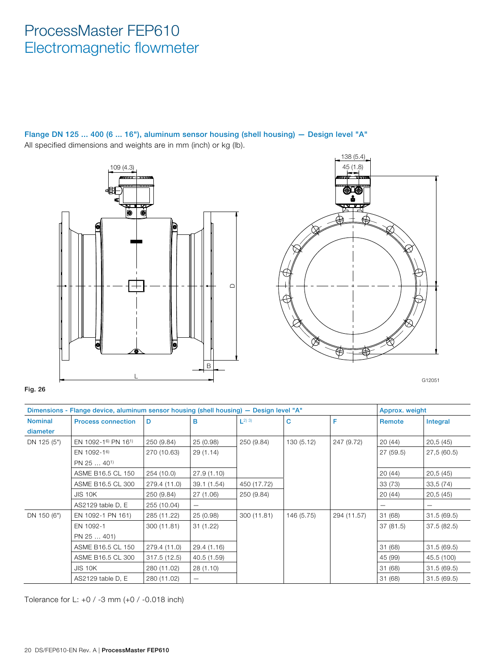Flange DN 125 ... 400 (6 ... 16"), aluminum sensor housing (shell housing) — Design level "A" All specified dimensions and weights are in mm (inch) or kg (lb).





G12051

#### Fig. 26

|                | Dimensions - Flange device, aluminum sensor housing (shell housing) - Design level "A" |              |                                |                        |            |             |          | Approx. weight |  |
|----------------|----------------------------------------------------------------------------------------|--------------|--------------------------------|------------------------|------------|-------------|----------|----------------|--|
| <b>Nominal</b> | <b>Process connection</b>                                                              | D            | в                              | $\lfloor 2 \rfloor$ 3) | C          | F           | Remote   | Integral       |  |
| diameter       |                                                                                        |              |                                |                        |            |             |          |                |  |
| DN 125 (5")    | EN 1092-1 <sup>6</sup> PN 16 <sup>1</sup>                                              | 250 (9.84)   | 25 (0.98)                      | 250 (9.84)             | 130(5.12)  | 247 (9.72)  | 20(44)   | 20,5(45)       |  |
|                | EN 1092-16)                                                                            | 270 (10.63)  | 29 (1.14)                      |                        |            |             | 27(59.5) | 27,5(60.5)     |  |
|                | PN 25  40 <sup>1)</sup>                                                                |              |                                |                        |            |             |          |                |  |
|                | ASME B16.5 CL 150                                                                      | 254 (10.0)   | 27.9(1.10)                     |                        |            |             | 20(44)   | 20,5(45)       |  |
|                | ASME B16.5 CL 300                                                                      | 279.4 (11.0) | 39.1 (1.54)                    | 450 (17.72)            |            |             | 33(73)   | 33,5(74)       |  |
|                | <b>JIS 10K</b>                                                                         | 250 (9.84)   | 27 (1.06)                      | 250 (9.84)             |            |             | 20(44)   | 20,5(45)       |  |
|                | AS2129 table D, E                                                                      | 255 (10.04)  | $\overline{\phantom{m}}$       |                        |            |             |          |                |  |
| DN 150 (6")    | EN 1092-1 PN 161)                                                                      | 285 (11.22)  | 25 (0.98)                      | 300 (11.81)            | 146 (5.75) | 294 (11.57) | 31(68)   | 31.5(69.5)     |  |
|                | EN 1092-1                                                                              | 300 (11.81)  | 31(1.22)                       |                        |            |             | 37(81.5) | 37.5(82.5)     |  |
|                | PN 25  401)                                                                            |              |                                |                        |            |             |          |                |  |
|                | ASME B16.5 CL 150                                                                      | 279.4 (11.0) | 29.4 (1.16)                    |                        |            |             | 31(68)   | 31.5(69.5)     |  |
|                | ASME B16.5 CL 300                                                                      | 317.5(12.5)  | 40.5 (1.59)                    |                        |            |             | 45 (99)  | 45.5 (100)     |  |
|                | <b>JIS 10K</b>                                                                         | 280 (11.02)  | 28(1.10)                       |                        |            |             | 31 (68)  | 31.5(69.5)     |  |
|                | AS2129 table D, E                                                                      | 280 (11.02)  | $\qquad \qquad \longleftarrow$ |                        |            |             | 31(68)   | 31.5(69.5)     |  |

Tolerance for L: +0 / -3 mm (+0 / -0.018 inch)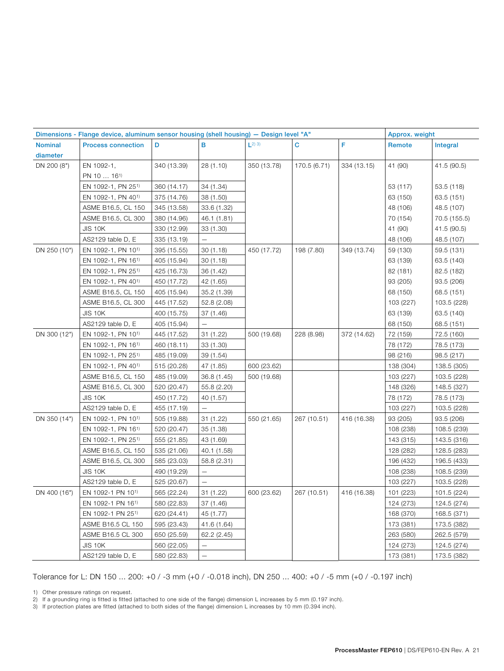| Dimensions - Flange device, aluminum sensor housing (shell housing) - Design level "A" |                                |             |                   |                        |              | Approx. weight |           |              |
|----------------------------------------------------------------------------------------|--------------------------------|-------------|-------------------|------------------------|--------------|----------------|-----------|--------------|
| <b>Nominal</b>                                                                         | <b>Process connection</b>      | D           | B                 | $\lfloor 2 \rfloor$ 3) | $\mathbf C$  | F              | Remote    | Integral     |
| diameter                                                                               |                                |             |                   |                        |              |                |           |              |
| DN 200 (8")                                                                            | EN 1092-1,                     | 340 (13.39) | 28 (1.10)         | 350 (13.78)            | 170.5 (6.71) | 334 (13.15)    | 41 (90)   | 41.5 (90.5)  |
|                                                                                        | PN 10  16 <sup>1)</sup>        |             |                   |                        |              |                |           |              |
|                                                                                        | EN 1092-1, PN 251)             | 360 (14.17) | 34 (1.34)         |                        |              |                | 53 (117)  | 53.5 (118)   |
|                                                                                        | EN 1092-1, PN 401)             | 375 (14.76) | 38 (1.50)         |                        |              |                | 63 (150)  | 63.5 (151)   |
|                                                                                        | ASME B16.5, CL 150             | 345 (13.58) | 33.6 (1.32)       |                        |              |                | 48 (106)  | 48.5 (107)   |
|                                                                                        | ASME B16.5, CL 300             | 380 (14.96) | 46.1 (1.81)       |                        |              |                | 70 (154)  | 70.5 (155.5) |
|                                                                                        | <b>JIS 10K</b>                 | 330 (12.99) | 33 (1.30)         |                        |              |                | 41 (90)   | 41.5 (90.5)  |
|                                                                                        | AS2129 table D, E              | 335 (13.19) | $\equiv$          |                        |              |                | 48 (106)  | 48.5 (107)   |
| DN 250 (10")                                                                           | EN 1092-1, PN 101)             | 395 (15.55) | 30(1.18)          | 450 (17.72)            | 198 (7.80)   | 349 (13.74)    | 59 (130)  | 59.5 (131)   |
|                                                                                        | EN 1092-1, PN 161)             | 405 (15.94) | 30(1.18)          |                        |              |                | 63 (139)  | 63.5 (140)   |
|                                                                                        | EN 1092-1, PN 251)             | 425 (16.73) | 36 (1.42)         |                        |              |                | 82 (181)  | 82.5 (182)   |
|                                                                                        | EN 1092-1, PN 40 <sup>1)</sup> | 450 (17.72) | 42 (1.65)         |                        |              |                | 93 (205)  | 93.5 (206)   |
|                                                                                        | ASME B16.5, CL 150             | 405 (15.94) | 35.2 (1.39)       |                        |              |                | 68 (150)  | 68.5 (151)   |
|                                                                                        | ASME B16.5, CL 300             | 445 (17.52) | 52.8 (2.08)       |                        |              |                | 103 (227) | 103.5 (228)  |
|                                                                                        | JIS 10K                        | 400 (15.75) | 37 (1.46)         |                        |              |                | 63 (139)  | 63.5 (140)   |
|                                                                                        | AS2129 table D, E              | 405 (15.94) | $\qquad \qquad -$ |                        |              |                | 68 (150)  | 68.5 (151)   |
| DN 300 (12")                                                                           | EN 1092-1, PN 10 <sup>1)</sup> | 445 (17.52) | 31 (1.22)         | 500 (19.68)            | 228 (8.98)   | 372 (14.62)    | 72 (159)  | 72.5 (160)   |
|                                                                                        | EN 1092-1, PN 161)             | 460 (18.11) | 33 (1.30)         |                        |              |                | 78 (172)  | 78.5 (173)   |
|                                                                                        | EN 1092-1, PN 251)             | 485 (19.09) | 39 (1.54)         |                        |              |                | 98 (216)  | 98.5 (217)   |
|                                                                                        | EN 1092-1, PN 401)             | 515 (20.28) | 47 (1.85)         | 600 (23.62)            |              |                | 138 (304) | 138.5 (305)  |
|                                                                                        | ASME B16.5, CL 150             | 485 (19.09) | 36.8 (1.45)       | 500 (19.68)            |              |                | 103 (227) | 103.5 (228)  |
|                                                                                        | ASME B16.5, CL 300             | 520 (20.47) | 55.8 (2.20)       |                        |              |                | 148 (326) | 148.5 (327)  |
|                                                                                        | <b>JIS 10K</b>                 | 450 (17.72) | 40 (1.57)         |                        |              |                | 78 (172)  | 78.5 (173)   |
|                                                                                        | AS2129 table D, E              | 455 (17.19) | $\equiv$          |                        |              |                | 103 (227) | 103.5 (228)  |
| DN 350 (14")                                                                           | EN 1092-1, PN 101)             | 505 (19.88) | 31 (1.22)         | 550 (21.65)            | 267 (10.51)  | 416 (16.38)    | 93 (205)  | 93.5 (206)   |
|                                                                                        | EN 1092-1, PN 16 <sup>1)</sup> | 520 (20.47) | 35 (1.38)         |                        |              |                | 108 (238) | 108.5 (239)  |
|                                                                                        | EN 1092-1, PN 251)             | 555 (21.85) | 43 (1.69)         |                        |              |                | 143 (315) | 143.5 (316)  |
|                                                                                        | ASME B16.5, CL 150             | 535 (21.06) | 40.1 (1.58)       |                        |              |                | 128 (282) | 128.5 (283)  |
|                                                                                        | ASME B16.5, CL 300             | 585 (23.03) | 58.8 (2.31)       |                        |              |                | 196 (432) | 196.5 (433)  |
|                                                                                        | <b>JIS 10K</b>                 | 490 (19.29) | $\qquad \qquad -$ |                        |              |                | 108 (238) | 108.5 (239)  |
|                                                                                        | AS2129 table D, E              | 525 (20.67) | $\equiv$          |                        |              |                | 103 (227) | 103.5 (228)  |
| DN 400 (16")                                                                           | EN 1092-1 PN 10 <sup>1)</sup>  | 565 (22.24) | 31 (1.22)         | 600 (23.62)            | 267 (10.51)  | 416 (16.38)    | 101 (223) | 101.5 (224)  |
|                                                                                        | EN 1092-1 PN 161)              | 580 (22.83) | 37 (1.46)         |                        |              |                | 124 (273) | 124.5 (274)  |
|                                                                                        | EN 1092-1 PN 251)              | 620 (24.41) | 45 (1.77)         |                        |              |                | 168 (370) | 168.5 (371)  |
|                                                                                        | ASME B16.5 CL 150              | 595 (23.43) | 41.6 (1.64)       |                        |              |                | 173 (381) | 173.5 (382)  |
|                                                                                        | ASME B16.5 CL 300              | 650 (25.59) | 62.2 (2.45)       |                        |              |                | 263 (580) | 262.5 (579)  |
|                                                                                        | <b>JIS 10K</b>                 | 560 (22.05) | $\equiv$          |                        |              |                | 124 (273) | 124.5 (274)  |
|                                                                                        | AS2129 table D, E              | 580 (22.83) | $\qquad \qquad -$ |                        |              |                | 173 (381) | 173.5 (382)  |

Tolerance for L: DN 150 ... 200: +0 / -3 mm (+0 / -0.018 inch), DN 250 ... 400: +0 / -5 mm (+0 / -0.197 inch)

1) Other pressure ratings on request.

2) If a grounding ring is fitted is fitted (attached to one side of the flange) dimension L increases by 5 mm (0.197 inch).

3) If protection plates are fitted (attached to both sides of the flange) dimension L increases by 10 mm (0.394 inch).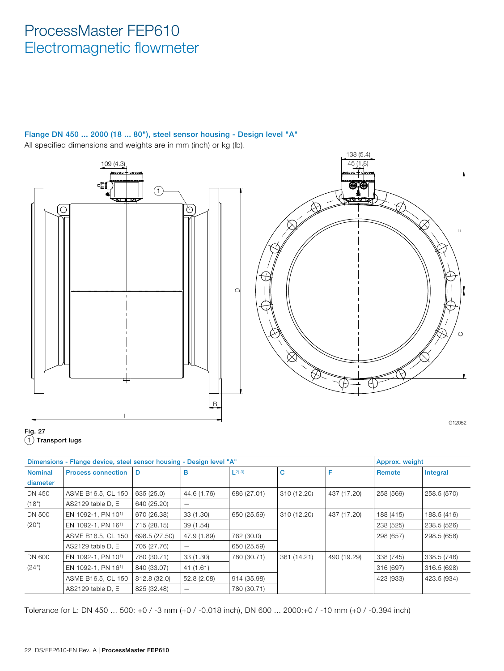#### Flange DN 450 ... 2000 (18 ... 80"), steel sensor housing - Design level "A" All specified dimensions and weights are in mm (inch) or kg (lb).





|                | Dimensions - Flange device, steel sensor housing - Design level "A" |               |                          |                        |             |             | Approx. weight |             |
|----------------|---------------------------------------------------------------------|---------------|--------------------------|------------------------|-------------|-------------|----------------|-------------|
| <b>Nominal</b> | <b>Process connection</b>                                           | D             | в                        | $\lfloor 2 \rfloor$ 3) | C           | F           | Remote         | Integral    |
| diameter       |                                                                     |               |                          |                        |             |             |                |             |
| DN 450         | ASME B16.5, CL 150                                                  | 635 (25.0)    | 44.6 (1.76)              | 686 (27.01)            | 310 (12.20) | 437 (17.20) | 258 (569)      | 258.5 (570) |
| (18")          | AS2129 table D, E                                                   | 640 (25.20)   | $\overline{\phantom{m}}$ |                        |             |             |                |             |
| DN 500         | EN 1092-1, PN 10 <sup>1)</sup>                                      | 670 (26.38)   | 33 (1.30)                | 650 (25.59)            | 310 (12.20) | 437 (17.20) | 188 (415)      | 188.5 (416) |
| (20")          | EN 1092-1, PN 161)                                                  | 715 (28.15)   | 39(1.54)                 |                        |             |             | 238 (525)      | 238.5 (526) |
|                | ASME B16.5, CL 150                                                  | 698.5 (27.50) | 47.9 (1.89)              | 762 (30.0)             |             |             | 298 (657)      | 298.5 (658) |
|                | AS2129 table D, E                                                   | 705 (27.76)   |                          | 650 (25.59)            |             |             |                |             |
| DN 600         | EN 1092-1, PN 101)                                                  | 780 (30.71)   | 33 (1.30)                | 780 (30.71)            | 361 (14.21) | 490 (19.29) | 338 (745)      | 338.5 (746) |
| (24")          | EN 1092-1, PN 161)                                                  | 840 (33.07)   | 41 (1.61)                |                        |             |             | 316 (697)      | 316.5 (698) |
|                | ASME B16.5, CL 150                                                  | 812.8 (32.0)  | 52.8 (2.08)              | 914 (35.98)            |             |             | 423 (933)      | 423.5 (934) |
|                | AS2129 table D. E                                                   | 825 (32.48)   |                          | 780 (30.71)            |             |             |                |             |

Tolerance for L: DN 450 ... 500: +0 / -3 mm (+0 / -0.018 inch), DN 600 ... 2000:+0 / -10 mm (+0 / -0.394 inch)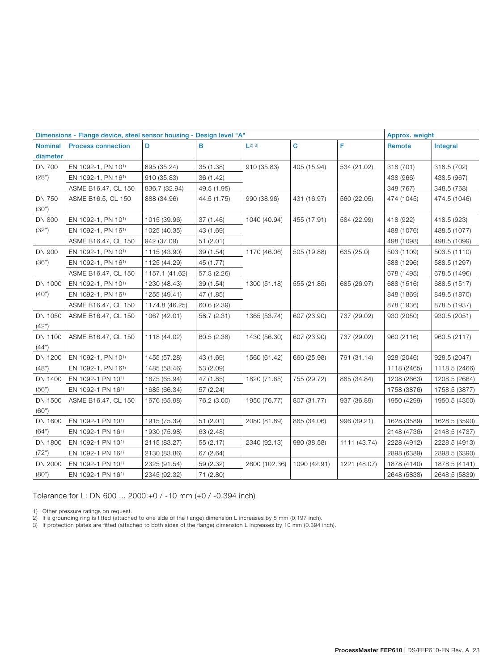| Dimensions - Flange device, steel sensor housing - Design level "A" |                           |                |             |                        | Approx. weight |              |             |               |
|---------------------------------------------------------------------|---------------------------|----------------|-------------|------------------------|----------------|--------------|-------------|---------------|
| <b>Nominal</b>                                                      | <b>Process connection</b> | D              | в           | $\lfloor 2 \rfloor$ 3) | C              | F            | Remote      | Integral      |
| diameter                                                            |                           |                |             |                        |                |              |             |               |
| <b>DN 700</b>                                                       | EN 1092-1, PN 101)        | 895 (35.24)    | 35 (1.38)   | 910 (35.83)            | 405 (15.94)    | 534 (21.02)  | 318 (701)   | 318.5 (702)   |
| (28")                                                               | EN 1092-1, PN 161)        | 910 (35.83)    | 36 (1.42)   |                        |                |              | 438 (966)   | 438.5 (967)   |
|                                                                     | ASME B16.47, CL 150       | 836.7 (32.94)  | 49.5 (1.95) |                        |                |              | 348 (767)   | 348.5 (768)   |
| <b>DN 750</b>                                                       | ASME B16.5, CL 150        | 888 (34.96)    | 44.5 (1.75) | 990 (38.96)            | 431 (16.97)    | 560 (22.05)  | 474 (1045)  | 474.5 (1046)  |
| (30")                                                               |                           |                |             |                        |                |              |             |               |
| <b>DN 800</b>                                                       | EN 1092-1, PN 101)        | 1015 (39.96)   | 37 (1.46)   | 1040 (40.94)           | 455 (17.91)    | 584 (22.99)  | 418 (922)   | 418.5 (923)   |
| (32")                                                               | EN 1092-1, PN 161)        | 1025 (40.35)   | 43 (1.69)   |                        |                |              | 488 (1076)  | 488.5 (1077)  |
|                                                                     | ASME B16.47, CL 150       | 942 (37.09)    | 51(2.01)    |                        |                |              | 498 (1098)  | 498.5 (1099)  |
| DN 900                                                              | EN 1092-1, PN 101)        | 1115 (43.90)   | 39 (1.54)   | 1170 (46.06)           | 505 (19.88)    | 635 (25.0)   | 503 (1109)  | 503.5 (1110)  |
| (36")                                                               | EN 1092-1, PN 161)        | 1125 (44.29)   | 45 (1.77)   |                        |                |              | 588 (1296)  | 588.5 (1297)  |
|                                                                     | ASME B16.47, CL 150       | 1157.1 (41.62) | 57.3 (2.26) |                        |                |              | 678 (1495)  | 678.5 (1496)  |
| DN 1000                                                             | EN 1092-1, PN 101)        | 1230 (48.43)   | 39 (1.54)   | 1300 (51.18)           | 555 (21.85)    | 685 (26.97)  | 688 (1516)  | 688.5 (1517)  |
| (40")                                                               | EN 1092-1, PN 161)        | 1255 (49.41)   | 47 (1.85)   |                        |                |              | 848 (1869)  | 848.5 (1870)  |
|                                                                     | ASME B16.47, CL 150       | 1174.8 (46.25) | 60.6 (2.39) |                        |                |              | 878 (1936)  | 878.5 (1937)  |
| DN 1050                                                             | ASME B16.47, CL 150       | 1067 (42.01)   | 58.7 (2.31) | 1365 (53.74)           | 607 (23.90)    | 737 (29.02)  | 930 (2050)  | 930.5 (2051)  |
| (42")                                                               |                           |                |             |                        |                |              |             |               |
| DN 1100                                                             | ASME B16.47, CL 150       | 1118 (44.02)   | 60.5 (2.38) | 1430 (56.30)           | 607 (23.90)    | 737 (29.02)  | 960 (2116)  | 960.5 (2117)  |
| (44")                                                               |                           |                |             |                        |                |              |             |               |
| DN 1200                                                             | EN 1092-1, PN 101)        | 1455 (57.28)   | 43 (1.69)   | 1560 (61.42)           | 660 (25.98)    | 791 (31.14)  | 928 (2046)  | 928.5 (2047)  |
| (48")                                                               | EN 1092-1, PN 161)        | 1485 (58.46)   | 53 (2.09)   |                        |                |              | 1118 (2465) | 1118.5 (2466) |
| DN 1400                                                             | EN 1092-1 PN 101)         | 1675 (65.94)   | 47 (1.85)   | 1820 (71.65)           | 755 (29.72)    | 885 (34.84)  | 1208 (2663) | 1208.5 (2664) |
| (56")                                                               | EN 1092-1 PN 161)         | 1685 (66.34)   | 57 (2.24)   |                        |                |              | 1758 (3876) | 1758.5 (3877) |
| DN 1500                                                             | ASME B16.47, CL 150       | 1676 (65.98)   | 76.2 (3.00) | 1950 (76.77)           | 807 (31.77)    | 937 (36.89)  | 1950 (4299) | 1950.5 (4300) |
| (60")                                                               |                           |                |             |                        |                |              |             |               |
| DN 1600                                                             | EN 1092-1 PN 101)         | 1915 (75.39)   | 51(2.01)    | 2080 (81.89)           | 865 (34.06)    | 996 (39.21)  | 1628 (3589) | 1628.5 (3590) |
| (64")                                                               | EN 1092-1 PN 161)         | 1930 (75.98)   | 63 (2.48)   |                        |                |              | 2148 (4736) | 2148.5 (4737) |
| DN 1800                                                             | EN 1092-1 PN 101)         | 2115 (83.27)   | 55 (2.17)   | 2340 (92.13)           | 980 (38.58)    | 1111 (43.74) | 2228 (4912) | 2228.5 (4913) |
| (72")                                                               | EN 1092-1 PN 161)         | 2130 (83.86)   | 67 (2.64)   |                        |                |              | 2898 (6389) | 2898.5 (6390) |
| DN 2000                                                             | EN 1092-1 PN 101)         | 2325 (91.54)   | 59 (2.32)   | 2600 (102.36)          | 1090 (42.91)   | 1221 (48.07) | 1878 (4140) | 1878.5 (4141) |
| (80")                                                               | EN 1092-1 PN 161)         | 2345 (92.32)   | 71 (2.80)   |                        |                |              | 2648 (5838) | 2648.5 (5839) |

Tolerance for L: DN 600 ... 2000:+0 / -10 mm (+0 / -0.394 inch)

1) Other pressure ratings on request.

2) If a grounding ring is fitted (attached to one side of the flange) dimension L increases by 5 mm (0.197 inch).

3) If protection plates are fitted (attached to both sides of the flange) dimension L increases by 10 mm (0.394 inch).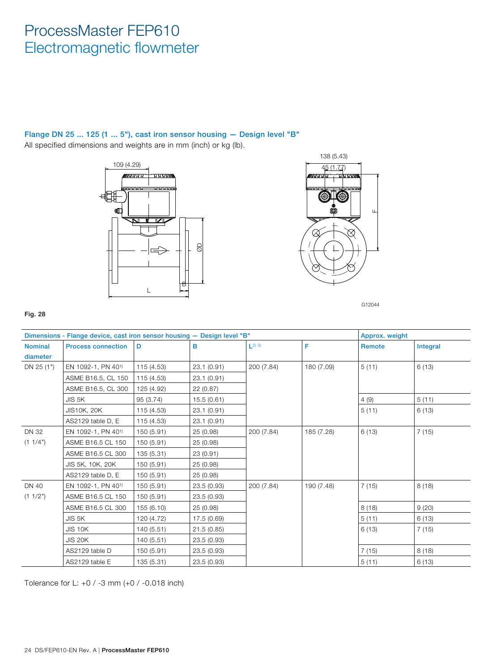#### Flange DN 25 ... 125 (1 ... 5"), cast iron sensor housing — Design level "B"

All specified dimensions and weights are in mm (inch) or kg (lb).





G12044

#### Fig. 28

|                            | Dimensions - Flange device, cast iron sensor housing - Design level "B" |            |             |                        |            | Approx. weight |          |
|----------------------------|-------------------------------------------------------------------------|------------|-------------|------------------------|------------|----------------|----------|
| <b>Nominal</b><br>diameter | <b>Process connection</b>                                               | D          | в           | $\lfloor 2 \rfloor$ 3) | F          | Remote         | Integral |
| DN 25 (1")                 | EN 1092-1, PN 40 <sup>1)</sup>                                          | 115 (4.53) | 23.1(0.91)  | 200 (7.84)             | 180 (7.09) | 5(11)          | 6(13)    |
|                            | ASME B16.5, CL 150                                                      | 115 (4.53) | 23.1(0.91)  |                        |            |                |          |
|                            | ASME B16.5, CL 300                                                      | 125 (4.92) | 22 (0.87)   |                        |            |                |          |
|                            | JIS 5K                                                                  | 95 (3.74)  | 15.5(0.61)  |                        |            | 4(9)           | 5(11)    |
|                            | <b>JIS10K, 20K</b>                                                      | 115 (4.53) | 23.1 (0.91) |                        |            | 5(11)          | 6(13)    |
|                            | AS2129 table D, E                                                       | 115 (4.53) | 23.1(0.91)  |                        |            |                |          |
| <b>DN 32</b>               | EN 1092-1, PN 401)                                                      | 150 (5.91) | 25 (0.98)   | 200 (7.84)             | 185 (7.28) | 6(13)          | 7(15)    |
| (1 1/4")                   | ASME B16.5 CL 150                                                       | 150 (5.91) | 25 (0.98)   |                        |            |                |          |
|                            | ASME B16.5 CL 300                                                       | 135 (5.31) | 23 (0.91)   |                        |            |                |          |
|                            | JIS 5K, 10K, 20K                                                        | 150 (5.91) | 25(0.98)    |                        |            |                |          |
|                            | AS2129 table D, E                                                       | 150 (5.91) | 25 (0.98)   |                        |            |                |          |
| <b>DN 40</b>               | EN 1092-1, PN 401)                                                      | 150 (5.91) | 23.5(0.93)  | 200 (7.84)             | 190 (7.48) | 7(15)          | 8(18)    |
| (1 1/2")                   | ASME B16.5 CL 150                                                       | 150 (5.91) | 23.5 (0.93) |                        |            |                |          |
|                            | ASME B16.5 CL 300                                                       | 155 (6.10) | 25 (0.98)   |                        |            | 8(18)          | 9(20)    |
|                            | JIS 5K                                                                  | 120 (4.72) | 17.5 (0.69) |                        |            | 5(11)          | 6(13)    |
|                            | <b>JIS 10K</b>                                                          | 140 (5.51) | 21.5(0.85)  |                        |            | 6(13)          | 7(15)    |
|                            | <b>JIS 20K</b>                                                          | 140 (5.51) | 23.5(0.93)  |                        |            |                |          |
|                            | AS2129 table D                                                          | 150 (5.91) | 23.5(0.93)  |                        |            | 7(15)          | 8(18)    |
|                            | AS2129 table E                                                          | 135 (5.31) | 23.5(0.93)  |                        |            | 5(11)          | 6(13)    |

Tolerance for L: +0 / -3 mm (+0 / -0.018 inch)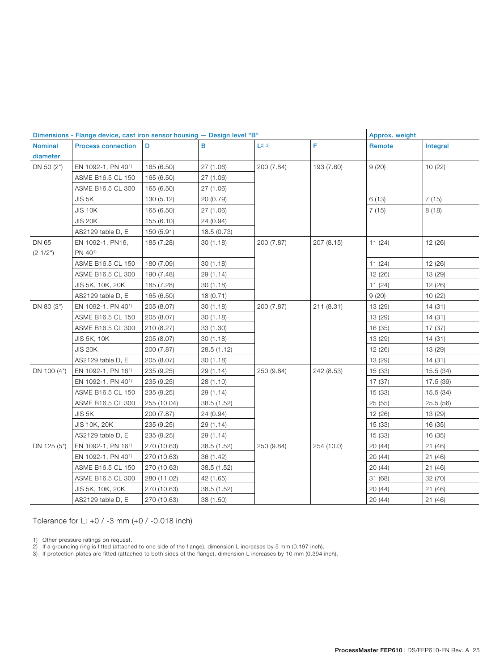| Dimensions - Flange device, cast iron sensor housing - Design level "B" |                                                            |             |             |                       |            | Approx. weight |           |
|-------------------------------------------------------------------------|------------------------------------------------------------|-------------|-------------|-----------------------|------------|----------------|-----------|
| <b>Nominal</b>                                                          | <b>Process connection</b>                                  | D           | в           | $\lfloor 2 \rfloor 3$ | F          | Remote         | Integral  |
| diameter                                                                |                                                            |             |             |                       |            |                |           |
| DN 50 (2")                                                              | EN 1092-1, PN 401)                                         | 165 (6.50)  | 27 (1.06)   | 200 (7.84)            | 193 (7.60) | 9(20)          | 10 (22)   |
|                                                                         | ASME B16.5 CL 150                                          | 165 (6.50)  | 27 (1.06)   |                       |            |                |           |
|                                                                         | ASME B16.5 CL 300                                          | 165 (6.50)  | 27 (1.06)   |                       |            |                |           |
|                                                                         | JIS 5K                                                     | 130 (5.12)  | 20 (0.79)   |                       |            | 6(13)          | 7(15)     |
|                                                                         | <b>JIS 10K</b>                                             | 165 (6.50)  | 27 (1.06)   |                       |            | 7(15)          | 8(18)     |
|                                                                         | <b>JIS 20K</b>                                             | 155 (6.10)  | 24 (0.94)   |                       |            |                |           |
|                                                                         | AS2129 table D, E                                          | 150 (5.91)  | 18.5 (0.73) |                       |            |                |           |
| DN 65                                                                   | EN 1092-1, PN16,                                           | 185 (7.28)  | 30(1.18)    | 200 (7.87)            | 207 (8.15) | 11(24)         | 12 (26)   |
| (21/2")                                                                 | PN 40 <sup>1)</sup>                                        |             |             |                       |            |                |           |
|                                                                         | ASME B16.5 CL 150                                          | 180 (7.09)  | 30(1.18)    |                       |            | 11(24)         | 12 (26)   |
|                                                                         | ASME B16.5 CL 300                                          | 190 (7.48)  | 29 (1.14)   |                       |            | 12 (26)        | 13 (29)   |
|                                                                         | JIS 5K, 10K, 20K                                           | 185 (7.28)  | 30(1.18)    |                       | 11(24)     | 12 (26)        |           |
|                                                                         | AS2129 table D, E                                          | 165 (6.50)  | 18 (0.71)   |                       |            | 9(20)          | 10 (22)   |
| DN 80 (3")                                                              | EN 1092-1, PN 401)<br>30(1.18)<br>200 (7.87)<br>205 (8.07) | 211 (8.31)  | 13 (29)     | 14 (31)               |            |                |           |
|                                                                         | ASME B16.5 CL 150                                          | 205 (8.07)  | 30(1.18)    |                       |            | 13 (29)        | 14 (31)   |
|                                                                         | ASME B16.5 CL 300                                          | 210 (8.27)  | 33 (1.30)   |                       |            | 16 (35)        | 17 (37)   |
|                                                                         | <b>JIS 5K, 10K</b>                                         | 205 (8.07)  | 30(1.18)    |                       |            | 13 (29)        | 14 (31)   |
|                                                                         | <b>JIS 20K</b>                                             | 200 (7.87)  | 28.5 (1.12) |                       |            | 12 (26)        | 13 (29)   |
|                                                                         | AS2129 table D, E                                          | 205 (8.07)  | 30(1.18)    |                       |            | 13 (29)        | 14 (31)   |
| DN 100 (4")                                                             | EN 1092-1, PN 161)                                         | 235 (9.25)  | 29 (1.14)   | 250 (9.84)            | 242 (8.53) | 15 (33)        | 15.5(34)  |
|                                                                         | EN 1092-1, PN 401)                                         | 235 (9.25)  | 28 (1.10)   |                       |            | 17 (37)        | 17.5 (39) |
|                                                                         | ASME B16.5 CL 150                                          | 235 (9.25)  | 29 (1.14)   |                       |            | 15 (33)        | 15.5 (34) |
|                                                                         | ASME B16.5 CL 300                                          | 255 (10.04) | 38.5 (1.52) |                       |            | 25(55)         | 25.5(56)  |
|                                                                         | JIS 5K                                                     | 200 (7.87)  | 24 (0.94)   |                       |            | 12 (26)        | 13 (29)   |
|                                                                         | <b>JIS 10K, 20K</b>                                        | 235 (9.25)  | 29 (1.14)   |                       |            | 15 (33)        | 16 (35)   |
|                                                                         | AS2129 table D, E                                          | 235 (9.25)  | 29 (1.14)   |                       |            | 15 (33)        | 16 (35)   |
| DN 125 (5")                                                             | EN 1092-1, PN 161)                                         | 270 (10.63) | 38.5 (1.52) | 250 (9.84)            | 254 (10.0) | 20(44)         | 21 (46)   |
|                                                                         | EN 1092-1, PN 40 <sup>1)</sup>                             | 270 (10.63) | 36 (1.42)   |                       |            | 20(44)         | 21(46)    |
|                                                                         | ASME B16.5 CL 150                                          | 270 (10.63) | 38.5 (1.52) |                       |            | 20(44)         | 21(46)    |
|                                                                         | ASME B16.5 CL 300                                          | 280 (11.02) | 42 (1.65)   |                       |            | 31 (68)        | 32 (70)   |
|                                                                         | JIS 5K, 10K, 20K                                           | 270 (10.63) | 38.5 (1.52) |                       |            | 20(44)         | 21(46)    |
|                                                                         | AS2129 table D, E                                          | 270 (10.63) | 38 (1.50)   |                       |            | 20 (44)        | 21(46)    |

Tolerance for L: +0 / -3 mm (+0 / -0.018 inch)

1) Other pressure ratings on request.

- 2) If a grounding ring is fitted (attached to one side of the flange), dimension L increases by 5 mm (0.197 inch).
- 3) If protection plates are fitted (attached to both sides of the flange), dimension L increases by 10 mm (0.394 inch).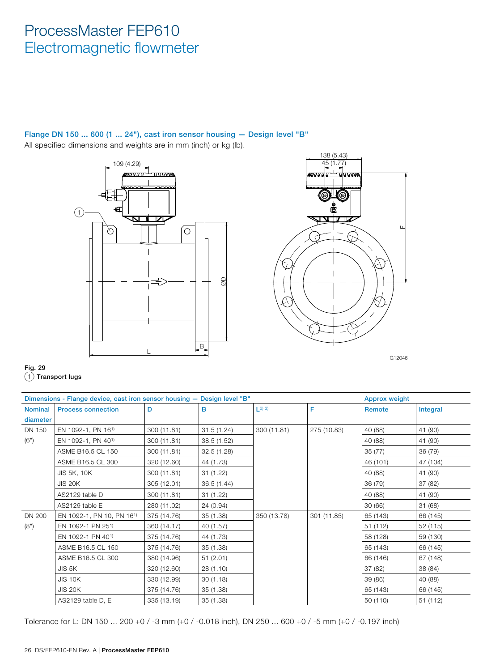### Flange DN 150 ... 600 (1 ... 24"), cast iron sensor housing — Design level "B"

All specified dimensions and weights are in mm (inch) or kg (lb).





Fig. 29 1 Transport lugs

|                | Dimensions - Flange device, cast iron sensor housing - Design level "B" |             |             |                        |             | <b>Approx weight</b> |          |
|----------------|-------------------------------------------------------------------------|-------------|-------------|------------------------|-------------|----------------------|----------|
| <b>Nominal</b> | <b>Process connection</b>                                               | D           | в           | $\lfloor 2 \rfloor$ 3) | F           | Remote               | Integral |
| diameter       |                                                                         |             |             |                        |             |                      |          |
| DN 150         | EN 1092-1, PN 161)                                                      | 300 (11.81) | 31.5(1.24)  | 300 (11.81)            | 275 (10.83) | 40 (88)              | 41 (90)  |
| (6")           | EN 1092-1, PN 401)                                                      | 300 (11.81) | 38.5 (1.52) |                        |             | 40 (88)              | 41 (90)  |
|                | ASME B16.5 CL 150                                                       | 300 (11.81) | 32.5 (1.28) |                        |             | 35 (77)              | 36 (79)  |
|                | ASME B16.5 CL 300                                                       | 320 (12.60) | 44 (1.73)   |                        |             | 46 (101)             | 47 (104) |
|                | <b>JIS 5K, 10K</b>                                                      | 300 (11.81) | 31 (1.22)   |                        |             | 40 (88)              | 41 (90)  |
|                | <b>JIS 20K</b>                                                          | 305 (12.01) | 36.5 (1.44) |                        |             | 36 (79)              | 37 (82)  |
|                | AS2129 table D                                                          | 300 (11.81) | 31(1.22)    |                        |             | 40 (88)              | 41 (90)  |
|                | AS2129 table E                                                          | 280 (11.02) | 24 (0.94)   |                        |             | 30 (66)              | 31 (68)  |
| <b>DN 200</b>  | EN 1092-1, PN 10, PN 161)                                               | 375 (14.76) | 35 (1.38)   | 350 (13.78)            | 301 (11.85) | 65 (143)             | 66 (145) |
| (8")           | EN 1092-1 PN 251)                                                       | 360 (14.17) | 40 (1.57)   |                        |             | 51 (112)             | 52 (115) |
|                | EN 1092-1 PN 40 <sup>1)</sup>                                           | 375 (14.76) | 44 (1.73)   |                        |             | 58 (128)             | 59 (130) |
|                | ASME B16.5 CL 150                                                       | 375 (14.76) | 35 (1.38)   |                        |             | 65 (143)             | 66 (145) |
|                | ASME B16.5 CL 300                                                       | 380 (14.96) | 51(2.01)    |                        |             | 66 (146)             | 67 (148) |
|                | JIS 5K                                                                  | 320 (12.60) | 28 (1.10)   |                        |             | 37 (82)              | 38 (84)  |
|                | JIS 10K                                                                 | 330 (12.99) | 30(1.18)    |                        |             | 39 (86)              | 40 (88)  |
|                | <b>JIS 20K</b>                                                          | 375 (14.76) | 35 (1.38)   |                        |             | 65 (143)             | 66 (145) |
|                | AS2129 table D, E                                                       | 335 (13.19) | 35 (1.38)   |                        |             | 50 (110)             | 51 (112) |

Tolerance for L: DN 150 ... 200 +0 / -3 mm (+0 / -0.018 inch), DN 250 ... 600 +0 / -5 mm (+0 / -0.197 inch)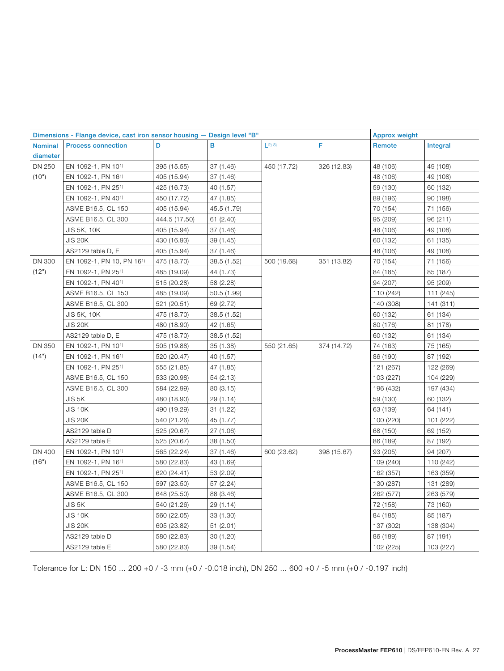|                | Dimensions - Flange device, cast iron sensor housing - Design level "B" |               |             |                        |             | <b>Approx weight</b> |           |
|----------------|-------------------------------------------------------------------------|---------------|-------------|------------------------|-------------|----------------------|-----------|
| <b>Nominal</b> | <b>Process connection</b>                                               | D             | B           | $\lfloor 2 \rfloor$ 3) | F           | Remote               | Integral  |
| diameter       |                                                                         |               |             |                        |             |                      |           |
| DN 250         | EN 1092-1, PN 101)                                                      | 395 (15.55)   | 37 (1.46)   | 450 (17.72)            | 326 (12.83) | 48 (106)             | 49 (108)  |
| (10")          | EN 1092-1, PN 161)                                                      | 405 (15.94)   | 37 (1.46)   |                        |             | 48 (106)             | 49 (108)  |
|                | EN 1092-1, PN 25 <sup>1)</sup>                                          | 425 (16.73)   | 40 (1.57)   |                        |             | 59 (130)             | 60 (132)  |
|                | EN 1092-1, PN 401)                                                      | 450 (17.72)   | 47 (1.85)   |                        |             | 89 (196)             | 90 (198)  |
|                | ASME B16.5, CL 150                                                      | 405 (15.94)   | 45.5 (1.79) |                        |             | 70 (154)             | 71 (156)  |
|                | ASME B16.5, CL 300                                                      | 444.5 (17.50) | 61(2.40)    |                        |             | 95 (209)             | 96 (211)  |
|                | JIS 5K, 10K                                                             | 405 (15.94)   | 37 (1.46)   |                        |             | 48 (106)             | 49 (108)  |
|                | <b>JIS 20K</b>                                                          | 430 (16.93)   | 39 (1.45)   |                        |             | 60 (132)             | 61 (135)  |
|                | AS2129 table D, E                                                       | 405 (15.94)   | 37 (1.46)   |                        |             | 48 (106)             | 49 (108)  |
| <b>DN 300</b>  | EN 1092-1, PN 10, PN 161)                                               | 475 (18.70)   | 38.5 (1.52) | 500 (19.68)            | 351 (13.82) | 70 (154)             | 71 (156)  |
| (12")          | EN 1092-1, PN 251)                                                      | 485 (19.09)   | 44 (1.73)   |                        |             | 84 (185)             | 85 (187)  |
|                | EN 1092-1, PN 401)                                                      | 515 (20.28)   | 58 (2.28)   |                        |             | 94 (207)             | 95 (209)  |
|                | ASME B16.5, CL 150                                                      | 485 (19.09)   | 50.5 (1.99) |                        |             | 110 (242)            | 111 (245) |
|                | ASME B16.5, CL 300                                                      | 521 (20.51)   | 69 (2.72)   |                        |             | 140 (308)            | 141 (311) |
|                | JIS 5K, 10K                                                             | 475 (18.70)   | 38.5 (1.52) |                        |             | 60 (132)             | 61 (134)  |
|                | <b>JIS 20K</b>                                                          | 480 (18.90)   | 42 (1.65)   |                        |             | 80 (176)             | 81 (178)  |
|                | AS2129 table D, E                                                       | 475 (18.70)   | 38.5 (1.52) |                        |             | 60 (132)             | 61 (134)  |
| <b>DN 350</b>  | EN 1092-1, PN 101)                                                      | 505 (19.88)   | 35 (1.38)   | 550 (21.65)            | 374 (14.72) | 74 (163)             | 75 (165)  |
| (14")          | EN 1092-1, PN 16 <sup>1)</sup>                                          | 520 (20.47)   | 40 (1.57)   |                        |             | 86 (190)             | 87 (192)  |
|                | EN 1092-1, PN 251)                                                      | 555 (21.85)   | 47 (1.85)   |                        |             | 121 (267)            | 122 (269) |
|                | ASME B16.5, CL 150                                                      | 533 (20.98)   | 54 (2.13)   |                        |             | 103 (227)            | 104 (229) |
|                | ASME B16.5, CL 300                                                      | 584 (22.99)   | 80 (3.15)   |                        |             | 196 (432)            | 197 (434) |
|                | JIS 5K                                                                  | 480 (18.90)   | 29 (1.14)   |                        |             | 59 (130)             | 60 (132)  |
|                | <b>JIS 10K</b>                                                          | 490 (19.29)   | 31 (1.22)   |                        |             | 63 (139)             | 64 (141)  |
|                | <b>JIS 20K</b>                                                          | 540 (21.26)   | 45 (1.77)   |                        |             | 100 (220)            | 101 (222) |
|                | AS2129 table D                                                          | 525 (20.67)   | 27 (1.06)   |                        |             | 68 (150)             | 69 (152)  |
|                | AS2129 table E                                                          | 525 (20.67)   | 38 (1.50)   |                        |             | 86 (189)             | 87 (192)  |
| <b>DN 400</b>  | EN 1092-1, PN 10 <sup>1</sup>                                           | 565 (22.24)   | 37 (1.46)   | 600 (23.62)            | 398 (15.67) | 93 (205)             | 94 (207)  |
| (16")          | EN 1092-1, PN 161)                                                      | 580 (22.83)   | 43 (1.69)   |                        |             | 109 (240)            | 110 (242) |
|                | EN 1092-1, PN 251)                                                      | 620 (24.41)   | 53 (2.09)   |                        |             | 162 (357)            | 163 (359) |
|                | ASME B16.5, CL 150                                                      | 597 (23.50)   | 57 (2.24)   |                        |             | 130 (287)            | 131 (289) |
|                | ASME B16.5, CL 300                                                      | 648 (25.50)   | 88 (3.46)   |                        |             | 262 (577)            | 263 (579) |
|                | JIS 5K                                                                  | 540 (21.26)   | 29 (1.14)   |                        |             | 72 (158)             | 73 (160)  |
|                | <b>JIS 10K</b>                                                          | 560 (22.05)   | 33 (1.30)   |                        |             | 84 (185)             | 85 (187)  |
|                | <b>JIS 20K</b>                                                          | 605 (23.82)   | 51(2.01)    |                        |             | 137 (302)            | 138 (304) |
|                | AS2129 table D                                                          | 580 (22.83)   | 30 (1.20)   |                        |             | 86 (189)             | 87 (191)  |
|                | AS2129 table E                                                          | 580 (22.83)   | 39 (1.54)   |                        |             | 102 (225)            | 103 (227) |

Tolerance for L: DN 150 ... 200 +0 / -3 mm (+0 / -0.018 inch), DN 250 ... 600 +0 / -5 mm (+0 / -0.197 inch)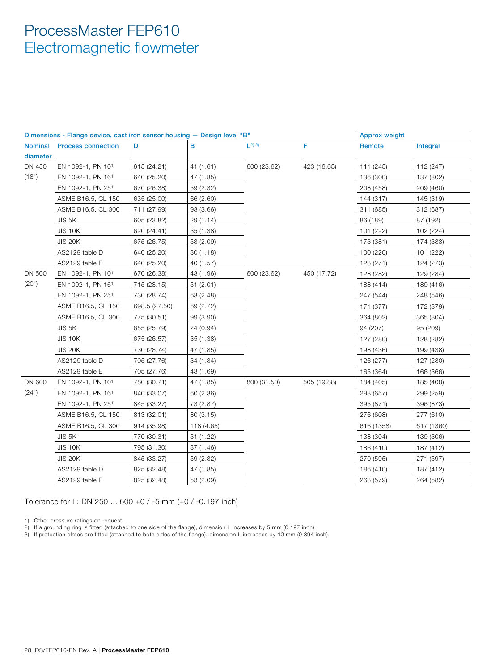|                | Dimensions - Flange device, cast iron sensor housing - Design level "B" |               |            |                       |             | <b>Approx weight</b> |            |
|----------------|-------------------------------------------------------------------------|---------------|------------|-----------------------|-------------|----------------------|------------|
| <b>Nominal</b> | <b>Process connection</b>                                               | D             | в          | $\lfloor 2 \rfloor 3$ | F           | Remote               | Integral   |
| diameter       |                                                                         |               |            |                       |             |                      |            |
| DN 450         | EN 1092-1, PN 101)                                                      | 615 (24.21)   | 41 (1.61)  | 600 (23.62)           | 423 (16.65) | 111 (245)            | 112 (247)  |
| (18")          | EN 1092-1, PN 16 <sup>1)</sup>                                          | 640 (25.20)   | 47 (1.85)  |                       |             | 136 (300)            | 137 (302)  |
|                | EN 1092-1, PN 251)                                                      | 670 (26.38)   | 59 (2.32)  |                       |             | 208 (458)            | 209 (460)  |
|                | ASME B16.5, CL 150                                                      | 635 (25.00)   | 66 (2.60)  |                       |             | 144 (317)            | 145 (319)  |
|                | ASME B16.5, CL 300                                                      | 711 (27.99)   | 93 (3.66)  |                       |             | 311 (685)            | 312 (687)  |
|                | JIS 5K                                                                  | 605 (23.82)   | 29 (1.14)  |                       |             | 86 (189)             | 87 (192)   |
|                | <b>JIS 10K</b>                                                          | 620 (24.41)   | 35 (1.38)  |                       |             | 101 (222)            | 102 (224)  |
|                | <b>JIS 20K</b>                                                          | 675 (26.75)   | 53 (2.09)  |                       |             | 173 (381)            | 174 (383)  |
|                | AS2129 table D                                                          | 640 (25.20)   | 30(1.18)   |                       |             | 100 (220)            | 101 (222)  |
|                | AS2129 table E                                                          | 640 (25.20)   | 40 (1.57)  |                       |             | 123 (271)            | 124 (273)  |
| DN 500         | EN 1092-1, PN 101)                                                      | 670 (26.38)   | 43 (1.96)  | 600 (23.62)           | 450 (17.72) | 128 (282)            | 129 (284)  |
| (20")          | EN 1092-1, PN 16 <sup>1)</sup>                                          | 715 (28.15)   | 51(2.01)   |                       |             | 188 (414)            | 189 (416)  |
|                | EN 1092-1, PN 251)                                                      | 730 (28.74)   | 63 (2.48)  |                       |             | 247 (544)            | 248 (546)  |
|                | ASME B16.5, CL 150                                                      | 698.5 (27.50) | 69 (2.72)  |                       |             | 171 (377)            | 172 (379)  |
|                | ASME B16.5, CL 300                                                      | 775 (30.51)   | 99 (3.90)  |                       |             | 364 (802)            | 365 (804)  |
|                | JIS 5K                                                                  | 655 (25.79)   | 24 (0.94)  |                       |             | 94 (207)             | 95 (209)   |
|                | <b>JIS 10K</b>                                                          | 675 (26.57)   | 35 (1.38)  |                       |             | 127 (280)            | 128 (282)  |
|                | <b>JIS 20K</b>                                                          | 730 (28.74)   | 47 (1.85)  |                       |             | 198 (436)            | 199 (438)  |
|                | AS2129 table D                                                          | 705 (27.76)   | 34 (1.34)  |                       |             | 126 (277)            | 127 (280)  |
|                | AS2129 table E                                                          | 705 (27.76)   | 43 (1.69)  |                       |             | 165 (364)            | 166 (366)  |
| DN 600         | EN 1092-1, PN 10 <sup>1)</sup>                                          | 780 (30.71)   | 47 (1.85)  | 800 (31.50)           | 505 (19.88) | 184 (405)            | 185 (408)  |
| (24")          | EN 1092-1, PN 161)                                                      | 840 (33.07)   | 60 (2.36)  |                       |             | 298 (657)            | 299 (259)  |
|                | EN 1092-1, PN 251)                                                      | 845 (33.27)   | 73 (2.87)  |                       |             | 395 (871)            | 396 (873)  |
|                | ASME B16.5, CL 150                                                      | 813 (32.01)   | 80 (3.15)  |                       |             | 276 (608)            | 277 (610)  |
|                | ASME B16.5, CL 300                                                      | 914 (35.98)   | 118 (4.65) |                       |             | 616 (1358)           | 617 (1360) |
|                | JIS 5K                                                                  | 770 (30.31)   | 31 (1.22)  |                       |             | 138 (304)            | 139 (306)  |
|                | <b>JIS 10K</b>                                                          | 795 (31.30)   | 37 (1.46)  |                       |             | 186 (410)            | 187 (412)  |
|                | <b>JIS 20K</b>                                                          | 845 (33.27)   | 59 (2.32)  |                       |             | 270 (595)            | 271 (597)  |
|                | AS2129 table D                                                          | 825 (32.48)   | 47 (1.85)  |                       |             | 186 (410)            | 187 (412)  |
|                | AS2129 table E                                                          | 825 (32.48)   | 53 (2.09)  |                       |             | 263 (579)            | 264 (582)  |

Tolerance for L: DN 250 ... 600 +0 / -5 mm (+0 / -0.197 inch)

1) Other pressure ratings on request.

2) If a grounding ring is fitted (attached to one side of the flange), dimension L increases by 5 mm (0.197 inch).

3) If protection plates are fitted (attached to both sides of the flange), dimension L increases by 10 mm (0.394 inch).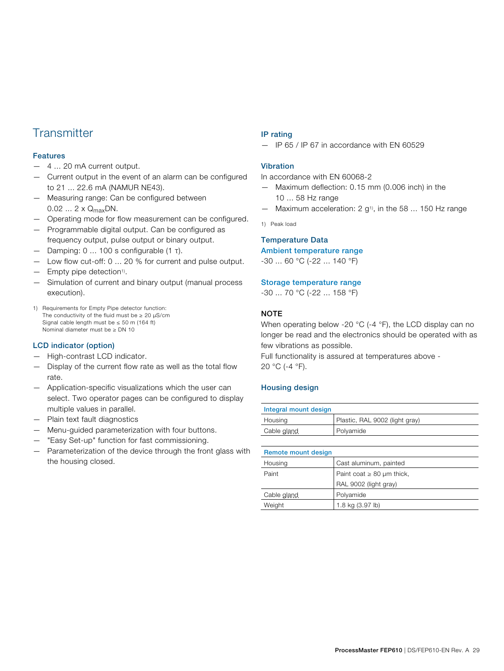### **Transmitter**

#### Features

- 4 ... 20 mA current output.
- Current output in the event of an alarm can be configured to 21 ... 22.6 mA (NAMUR NE43).
- Measuring range: Can be configured between  $0.02... 2 \times Q_{max}$ DN.
- Operating mode for flow measurement can be configured.
- Programmable digital output. Can be configured as frequency output, pulse output or binary output.
- Damping: 0 ... 100 s configurable (1 τ).
- Low flow cut-off: 0 ... 20 % for current and pulse output.
- Empty pipe detection1).
- Simulation of current and binary output (manual process execution).
- 1) Requirements for Empty Pipe detector function: The conductivity of the fluid must be  $\geq 20$  µS/cm Signal cable length must be  $\leq 50$  m (164 ft) Nominal diameter must be ≥ DN 10

#### LCD indicator (option)

- High-contrast LCD indicator.
- Display of the current flow rate as well as the total flow rate.
- Application-specific visualizations which the user can select. Two operator pages can be configured to display multiple values in parallel.
- Plain text fault diagnostics
- Menu-guided parameterization with four buttons.
- "Easy Set-up" function for fast commissioning.
- Parameterization of the device through the front glass with the housing closed.

#### IP rating

— IP 65 / IP 67 in accordance with EN 60529

#### Vibration

In accordance with EN 60068-2

- Maximum deflection: 0.15 mm (0.006 inch) in the 10 ... 58 Hz range
- $-$  Maximum acceleration: 2 g<sup>1)</sup>, in the 58 ... 150 Hz range

1) Peak load

#### Temperature Data

Ambient temperature range

-30 ... 60 °C (-22 ... 140 °F)

#### Storage temperature range

-30 ... 70 °C (-22 ... 158 °F)

#### **NOTE**

When operating below -20 °C (-4 °F), the LCD display can no longer be read and the electronics should be operated with as few vibrations as possible.

Full functionality is assured at temperatures above - 20 °C (-4 °F).

#### Housing design

| Integral mount design |                                |  |
|-----------------------|--------------------------------|--|
| Housing               | Plastic, RAL 9002 (light gray) |  |
| Cable gland           | Polyamide                      |  |

| Remote mount design |                                |
|---------------------|--------------------------------|
| Housing             | Cast aluminum, painted         |
| Paint               | Paint coat $\geq 80$ µm thick, |
|                     | RAL 9002 (light gray)          |
| Cable gland         | Polyamide                      |
| Weight              | 1.8 kg (3.97 lb)               |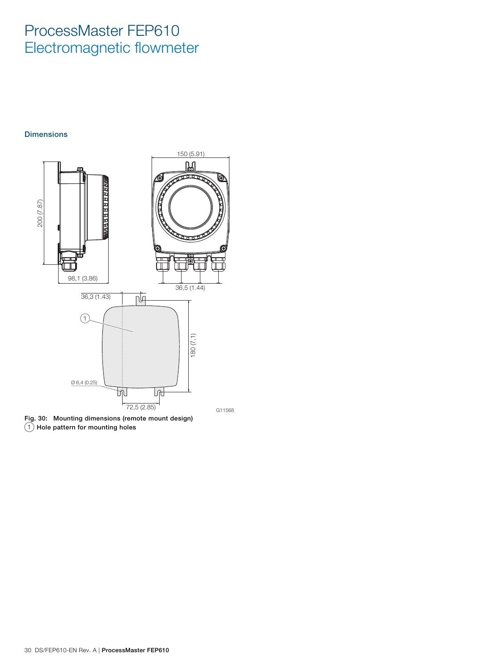#### **Dimensions**



Fig. 30: Mounting dimensions (remote mount design)  $(1)$  Hole pattern for mounting holes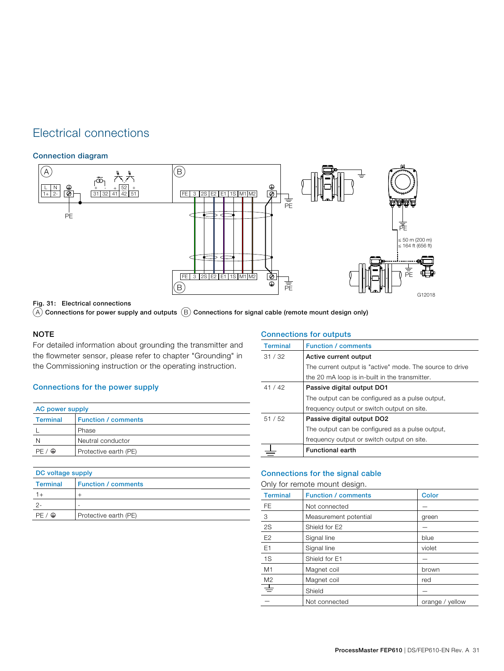### Electrical connections

#### Connection diagram



Fig. 31: Electrical connections

 $(A)$  Connections for power supply and outputs  $(B)$  Connections for signal cable (remote mount design only)

#### NOTE

For detailed information about grounding the transmitter and the flowmeter sensor, please refer to chapter "Grounding" in the Commissioning instruction or the operating instruction.

#### Connections for the power supply

| AC power supply       |                            |  |
|-----------------------|----------------------------|--|
| Terminal              | <b>Function / comments</b> |  |
|                       | Phase                      |  |
| N                     | Neutral conductor          |  |
| PF.<br>$\circledcirc$ | Protective earth (PE)      |  |

| DC voltage supply |                            |  |
|-------------------|----------------------------|--|
| <b>Terminal</b>   | <b>Function / comments</b> |  |
|                   |                            |  |
|                   |                            |  |
| $\bigoplus$       | Protective earth (PE)      |  |

|                 | <b>Connections for outputs</b>                           |  |  |
|-----------------|----------------------------------------------------------|--|--|
| <b>Terminal</b> | <b>Function / comments</b>                               |  |  |
| 31/32           | Active current output                                    |  |  |
|                 | The current output is "active" mode. The source to drive |  |  |
|                 | the 20 mA loop is in-built in the transmitter.           |  |  |
| 41/42           | Passive digital output DO1                               |  |  |
|                 | The output can be configured as a pulse output.          |  |  |
|                 | frequency output or switch output on site.               |  |  |
| 51/52           | Passive digital output DO2                               |  |  |
|                 | The output can be configured as a pulse output.          |  |  |
|                 | frequency output or switch output on site.               |  |  |
|                 | <b>Functional earth</b>                                  |  |  |

#### Connections for the signal cable

Only for remote mount design.

| <b>Terminal</b> | <b>Function / comments</b> | <b>Color</b>    |
|-----------------|----------------------------|-----------------|
| <b>FE</b>       | Not connected              |                 |
| 3               | Measurement potential      | green           |
| $2\mathrm{S}$   | Shield for E2              |                 |
| E <sub>2</sub>  | Signal line                | blue            |
| E <sub>1</sub>  | Signal line                | violet          |
| 1S              | Shield for E1              |                 |
| M1              | Magnet coil                | brown           |
| M <sub>2</sub>  | Magnet coil                | red             |
| 士               | Shield                     |                 |
|                 | Not connected              | orange / yellow |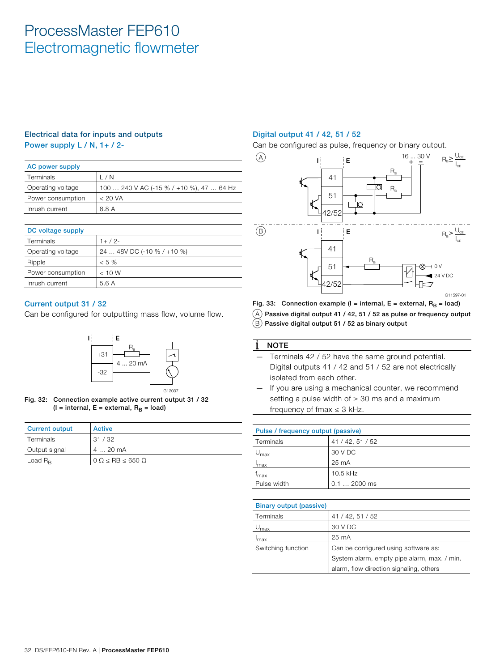### Electrical data for inputs and outputs

Power supply L / N, 1+ / 2-

| <b>AC power supply</b> |                                          |  |
|------------------------|------------------------------------------|--|
| Terminals              | / N                                      |  |
| Operating voltage      | 100  240 V AC (-15 % / +10 %), 47  64 Hz |  |
| Power consumption      | < 20 VA                                  |  |
| Inrush current         | 8.8 A                                    |  |

| DC voltage supply |                            |
|-------------------|----------------------------|
| Terminals         | $1+ / 2 -$                 |
| Operating voltage | 24  48V DC (-10 % / +10 %) |
| Ripple            | $< 5\%$                    |
| Power consumption | < 10 W                     |
| Inrush current    | 5.6 A                      |

#### Current output 31 / 32

Can be configured for outputting mass flow, volume flow.



Fig. 32: Connection example active current output 31 / 32 ( $I =$  internal,  $E =$  external,  $R_B =$  load)

| <b>Current output</b> | <b>Active</b>                       |
|-----------------------|-------------------------------------|
| Terminals             | 31/32                               |
| Output signal         | 4  20 mA                            |
| Load $R_{\rm R}$      | $0 \Omega <$ RB $\leq$ 650 $\Omega$ |

#### Digital output 41 / 42, 51 / 52

Can be configured as pulse, frequency or binary output.



Fig. 33: Connection example (I = internal, E = external,  $R_B$  = load)

 $(A)$  Passive digital output 41 / 42, 51 / 52 as pulse or frequency output

 $(B)$  Passive digital output 51 / 52 as binary output

#### **NOTE**

- Terminals 42 / 52 have the same ground potential. Digital outputs 41 / 42 and 51 / 52 are not electrically isolated from each other.
- If you are using a mechanical counter, we recommend setting a pulse width of  $\geq 30$  ms and a maximum frequency of fmax  $\leq$  3 kHz.

|                             | Pulse / frequency output (passive) |  |  |  |  |  |  |  |  |  |
|-----------------------------|------------------------------------|--|--|--|--|--|--|--|--|--|
| Terminals                   | 41 / 42, 51 / 52                   |  |  |  |  |  |  |  |  |  |
| 30 V DC<br>$U_{\text{max}}$ |                                    |  |  |  |  |  |  |  |  |  |
| $I_{\text{max}}$            | 25 mA                              |  |  |  |  |  |  |  |  |  |
| t <sub>max</sub>            | 10.5 kHz                           |  |  |  |  |  |  |  |  |  |
| Pulse width<br>$0.12000$ ms |                                    |  |  |  |  |  |  |  |  |  |

| <b>Binary output (passive)</b> |                                             |
|--------------------------------|---------------------------------------------|
| Terminals                      | 41 / 42, 51 / 52                            |
| $\mathsf{U}_{\text{max}}$      | 30 V DC                                     |
| <sup>I</sup> max               | $25 \text{ mA}$                             |
| Switching function             | Can be configured using software as:        |
|                                | System alarm, empty pipe alarm, max. / min. |
|                                | alarm, flow direction signaling, others     |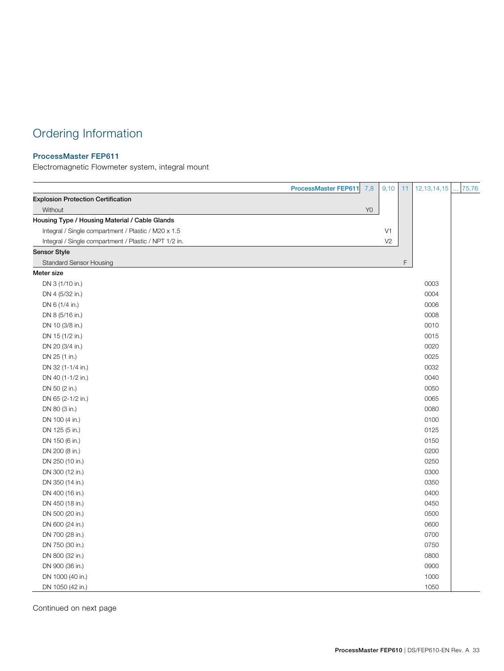### Ordering Information

#### ProcessMaster FEP611

Electromagnetic Flowmeter system, integral mount

|                                                       | <b>ProcessMaster FEP611</b> | 9,10<br>7,8    | 11 | 12, 13, 14, 15 | 75,76 |
|-------------------------------------------------------|-----------------------------|----------------|----|----------------|-------|
| <b>Explosion Protection Certification</b>             |                             |                |    |                |       |
| Without                                               |                             | Y <sub>0</sub> |    |                |       |
| Housing Type / Housing Material / Cable Glands        |                             |                |    |                |       |
| Integral / Single compartment / Plastic / M20 x 1.5   |                             | V <sub>1</sub> |    |                |       |
| Integral / Single compartment / Plastic / NPT 1/2 in. |                             | V <sub>2</sub> |    |                |       |
| <b>Sensor Style</b>                                   |                             |                |    |                |       |
| <b>Standard Sensor Housing</b>                        |                             |                | F  |                |       |
| Meter size                                            |                             |                |    |                |       |
| DN 3 (1/10 in.)                                       |                             |                |    | 0003           |       |
| DN 4 (5/32 in.)                                       |                             |                |    | 0004           |       |
| DN 6 (1/4 in.)                                        |                             |                |    | 0006           |       |
| DN 8 (5/16 in.)                                       |                             |                |    | 0008           |       |
| DN 10 (3/8 in.)                                       |                             |                |    | 0010           |       |
| DN 15 (1/2 in.)                                       |                             |                |    | 0015           |       |
| DN 20 (3/4 in.)                                       |                             |                |    | 0020           |       |
| DN 25 (1 in.)                                         |                             |                |    | 0025           |       |
| DN 32 (1-1/4 in.)                                     |                             |                |    | 0032           |       |
| DN 40 (1-1/2 in.)                                     |                             |                |    | 0040           |       |
| DN 50 (2 in.)                                         |                             |                |    | 0050           |       |
| DN 65 (2-1/2 in.)                                     |                             |                |    | 0065           |       |
| DN 80 (3 in.)                                         |                             |                |    | 0080           |       |
| DN 100 (4 in.)                                        |                             |                |    | 0100           |       |
| DN 125 (5 in.)                                        |                             |                |    | 0125           |       |
| DN 150 (6 in.)                                        |                             |                |    | 0150           |       |
| DN 200 (8 in.)                                        |                             |                |    | 0200           |       |
| DN 250 (10 in.)                                       |                             |                |    | 0250           |       |
| DN 300 (12 in.)                                       |                             |                |    | 0300           |       |
| DN 350 (14 in.)                                       |                             |                |    | 0350           |       |
| DN 400 (16 in.)                                       |                             |                |    | 0400           |       |
| DN 450 (18 in.)                                       |                             |                |    | 0450           |       |
| DN 500 (20 in.)                                       |                             |                |    | 0500           |       |
| DN 600 (24 in.)                                       |                             |                |    | 0600           |       |
| DN 700 (28 in.)                                       |                             |                |    | 0700           |       |
| DN 750 (30 in.)                                       |                             |                |    | 0750           |       |
| DN 800 (32 in.)                                       |                             |                |    | 0800           |       |
| DN 900 (36 in.)                                       |                             |                |    | 0900           |       |
| DN 1000 (40 in.)                                      |                             |                |    | 1000           |       |
| DN 1050 (42 in.)                                      |                             |                |    | 1050           |       |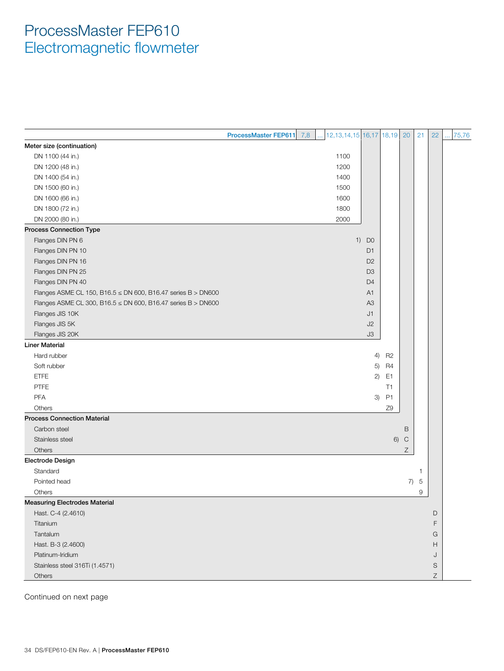|                                                              | ProcessMaster FEP611 7,8 | 12, 13, 14, 15 16, 17 18, 19 |                |                | 20          | 21             | 22 | 75,76 |
|--------------------------------------------------------------|--------------------------|------------------------------|----------------|----------------|-------------|----------------|----|-------|
| Meter size (continuation)                                    |                          |                              |                |                |             |                |    |       |
| DN 1100 (44 in.)                                             |                          | 1100                         |                |                |             |                |    |       |
| DN 1200 (48 in.)                                             |                          | 1200                         |                |                |             |                |    |       |
| DN 1400 (54 in.)                                             |                          | 1400                         |                |                |             |                |    |       |
| DN 1500 (60 in.)                                             |                          | 1500                         |                |                |             |                |    |       |
| DN 1600 (66 in.)                                             |                          | 1600                         |                |                |             |                |    |       |
| DN 1800 (72 in.)                                             |                          | 1800                         |                |                |             |                |    |       |
| DN 2000 (80 in.)                                             |                          | 2000                         |                |                |             |                |    |       |
| <b>Process Connection Type</b>                               |                          |                              |                |                |             |                |    |       |
| Flanges DIN PN 6                                             |                          |                              | $1)$ DO        |                |             |                |    |       |
| Flanges DIN PN 10                                            |                          |                              | D <sub>1</sub> |                |             |                |    |       |
| Flanges DIN PN 16                                            |                          |                              | D <sub>2</sub> |                |             |                |    |       |
| Flanges DIN PN 25                                            |                          |                              | D <sub>3</sub> |                |             |                |    |       |
| Flanges DIN PN 40                                            |                          |                              | D <sub>4</sub> |                |             |                |    |       |
| Flanges ASME CL 150, B16.5 ≤ DN 600, B16.47 series B > DN600 |                          |                              | A <sub>1</sub> |                |             |                |    |       |
| Flanges ASME CL 300, B16.5 ≤ DN 600, B16.47 series B > DN600 |                          |                              | A <sub>3</sub> |                |             |                |    |       |
| Flanges JIS 10K                                              |                          |                              | J1             |                |             |                |    |       |
| Flanges JIS 5K                                               |                          |                              | J2             |                |             |                |    |       |
| Flanges JIS 20K                                              |                          |                              | J3             |                |             |                |    |       |
| <b>Liner Material</b>                                        |                          |                              |                |                |             |                |    |       |
| Hard rubber                                                  |                          |                              | 4)             | R <sub>2</sub> |             |                |    |       |
| Soft rubber                                                  |                          |                              | 5)             | <b>R4</b>      |             |                |    |       |
| <b>ETFE</b>                                                  |                          |                              | 2)             | E1             |             |                |    |       |
| <b>PTFE</b>                                                  |                          |                              |                | T1             |             |                |    |       |
| PFA                                                          |                          |                              | 3)             | P <sub>1</sub> |             |                |    |       |
| Others                                                       |                          |                              |                | Z9             |             |                |    |       |
| <b>Process Connection Material</b>                           |                          |                              |                |                |             |                |    |       |
| Carbon steel                                                 |                          |                              |                |                | B           |                |    |       |
| Stainless steel                                              |                          |                              |                | 6)             | $\mathsf C$ |                |    |       |
| Others                                                       |                          |                              |                |                | Z           |                |    |       |
| <b>Electrode Design</b>                                      |                          |                              |                |                |             |                |    |       |
| Standard                                                     |                          |                              |                |                |             | 1              |    |       |
| Pointed head                                                 |                          |                              |                |                | 7)          | $\overline{5}$ |    |       |
| Others                                                       |                          |                              |                |                |             | 9              |    |       |
| <b>Measuring Electrodes Material</b>                         |                          |                              |                |                |             |                |    |       |
| Hast. C-4 (2.4610)                                           |                          |                              |                |                |             |                | D  |       |
| Titanium                                                     |                          |                              |                |                |             |                | F  |       |
| Tantalum                                                     |                          |                              |                |                |             |                | G  |       |
| Hast. B-3 (2.4600)                                           |                          |                              |                |                |             |                | H  |       |
| Platinum-Iridium                                             |                          |                              |                |                |             |                | J  |       |
| Stainless steel 316Ti (1.4571)                               |                          |                              |                |                |             |                | S  |       |
| Others                                                       |                          |                              |                |                |             |                | Ζ  |       |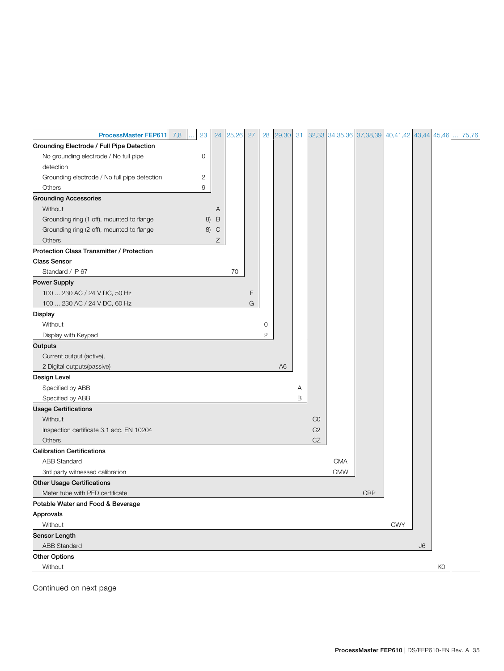| <b>ProcessMaster FEP611</b>                      | 7,8<br>23 | 24           | 25,26 | 27 | 28 | 29,30          | 31 | 32,33          |            | 34, 35, 36 37, 38, 39 40, 41, 42 43, 44 45, 46 |            |    |                | 75,76 |
|--------------------------------------------------|-----------|--------------|-------|----|----|----------------|----|----------------|------------|------------------------------------------------|------------|----|----------------|-------|
| Grounding Electrode / Full Pipe Detection        |           |              |       |    |    |                |    |                |            |                                                |            |    |                |       |
| No grounding electrode / No full pipe            | 0         |              |       |    |    |                |    |                |            |                                                |            |    |                |       |
| detection                                        |           |              |       |    |    |                |    |                |            |                                                |            |    |                |       |
| Grounding electrode / No full pipe detection     | 2         |              |       |    |    |                |    |                |            |                                                |            |    |                |       |
| Others                                           | 9         |              |       |    |    |                |    |                |            |                                                |            |    |                |       |
| <b>Grounding Accessories</b>                     |           |              |       |    |    |                |    |                |            |                                                |            |    |                |       |
| Without                                          |           | A            |       |    |    |                |    |                |            |                                                |            |    |                |       |
| Grounding ring (1 off), mounted to flange        | 8)        | $\mathsf B$  |       |    |    |                |    |                |            |                                                |            |    |                |       |
| Grounding ring (2 off), mounted to flange        | 8)        | $\mathsf{C}$ |       |    |    |                |    |                |            |                                                |            |    |                |       |
| Others                                           |           | Ζ            |       |    |    |                |    |                |            |                                                |            |    |                |       |
| <b>Protection Class Transmitter / Protection</b> |           |              |       |    |    |                |    |                |            |                                                |            |    |                |       |
| <b>Class Sensor</b>                              |           |              |       |    |    |                |    |                |            |                                                |            |    |                |       |
| Standard / IP 67                                 |           |              | 70    |    |    |                |    |                |            |                                                |            |    |                |       |
| <b>Power Supply</b>                              |           |              |       |    |    |                |    |                |            |                                                |            |    |                |       |
| 100  230 AC / 24 V DC, 50 Hz                     |           |              |       | F  |    |                |    |                |            |                                                |            |    |                |       |
| 100  230 AC / 24 V DC, 60 Hz                     |           |              |       | G  |    |                |    |                |            |                                                |            |    |                |       |
| <b>Display</b>                                   |           |              |       |    |    |                |    |                |            |                                                |            |    |                |       |
| Without                                          |           |              |       |    | 0  |                |    |                |            |                                                |            |    |                |       |
| Display with Keypad                              |           |              |       |    | 2  |                |    |                |            |                                                |            |    |                |       |
| Outputs                                          |           |              |       |    |    |                |    |                |            |                                                |            |    |                |       |
| Current output (active),                         |           |              |       |    |    |                |    |                |            |                                                |            |    |                |       |
| 2 Digital outputs(passive)                       |           |              |       |    |    | A <sub>6</sub> |    |                |            |                                                |            |    |                |       |
| Design Level                                     |           |              |       |    |    |                |    |                |            |                                                |            |    |                |       |
| Specified by ABB                                 |           |              |       |    |    |                | Α  |                |            |                                                |            |    |                |       |
| Specified by ABB                                 |           |              |       |    |    |                | B  |                |            |                                                |            |    |                |       |
| <b>Usage Certifications</b>                      |           |              |       |    |    |                |    |                |            |                                                |            |    |                |       |
| Without                                          |           |              |       |    |    |                |    | CO             |            |                                                |            |    |                |       |
| Inspection certificate 3.1 acc. EN 10204         |           |              |       |    |    |                |    | C <sub>2</sub> |            |                                                |            |    |                |       |
| Others                                           |           |              |       |    |    |                |    | CZ             |            |                                                |            |    |                |       |
| <b>Calibration Certifications</b>                |           |              |       |    |    |                |    |                |            |                                                |            |    |                |       |
| <b>ABB Standard</b>                              |           |              |       |    |    |                |    |                | <b>CMA</b> |                                                |            |    |                |       |
| 3rd party witnessed calibration                  |           |              |       |    |    |                |    |                | <b>CMW</b> |                                                |            |    |                |       |
| <b>Other Usage Certifications</b>                |           |              |       |    |    |                |    |                |            |                                                |            |    |                |       |
| Meter tube with PED certificate                  |           |              |       |    |    |                |    |                |            | <b>CRP</b>                                     |            |    |                |       |
| Potable Water and Food & Beverage                |           |              |       |    |    |                |    |                |            |                                                |            |    |                |       |
| Approvals                                        |           |              |       |    |    |                |    |                |            |                                                |            |    |                |       |
| Without                                          |           |              |       |    |    |                |    |                |            |                                                | <b>CWY</b> |    |                |       |
| Sensor Length                                    |           |              |       |    |    |                |    |                |            |                                                |            |    |                |       |
| <b>ABB Standard</b>                              |           |              |       |    |    |                |    |                |            |                                                |            | J6 |                |       |
| <b>Other Options</b>                             |           |              |       |    |    |                |    |                |            |                                                |            |    |                |       |
| Without                                          |           |              |       |    |    |                |    |                |            |                                                |            |    | K <sub>0</sub> |       |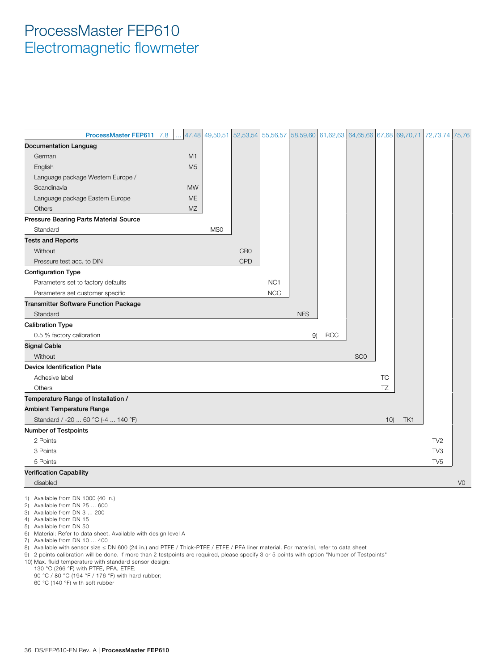| ProcessMaster FEP611 7,8                     | 47,48          | 49,50,51        |                 | 52,53,54 55,56,57 |            | 58,59,60 61,62,63 64,65,66 67,68 69,70,71 |                 |           |     | 72,73,74        | 75,76          |
|----------------------------------------------|----------------|-----------------|-----------------|-------------------|------------|-------------------------------------------|-----------------|-----------|-----|-----------------|----------------|
| <b>Documentation Languag</b>                 |                |                 |                 |                   |            |                                           |                 |           |     |                 |                |
| German                                       | M1             |                 |                 |                   |            |                                           |                 |           |     |                 |                |
| English                                      | M <sub>5</sub> |                 |                 |                   |            |                                           |                 |           |     |                 |                |
| Language package Western Europe /            |                |                 |                 |                   |            |                                           |                 |           |     |                 |                |
| Scandinavia                                  | <b>MW</b>      |                 |                 |                   |            |                                           |                 |           |     |                 |                |
| Language package Eastern Europe              | <b>ME</b>      |                 |                 |                   |            |                                           |                 |           |     |                 |                |
| Others                                       | MZ             |                 |                 |                   |            |                                           |                 |           |     |                 |                |
| Pressure Bearing Parts Material Source       |                |                 |                 |                   |            |                                           |                 |           |     |                 |                |
| Standard                                     |                | MS <sub>0</sub> |                 |                   |            |                                           |                 |           |     |                 |                |
| <b>Tests and Reports</b>                     |                |                 |                 |                   |            |                                           |                 |           |     |                 |                |
| Without                                      |                |                 | CR <sub>0</sub> |                   |            |                                           |                 |           |     |                 |                |
| Pressure test acc. to DIN                    |                |                 | CPD             |                   |            |                                           |                 |           |     |                 |                |
| <b>Configuration Type</b>                    |                |                 |                 |                   |            |                                           |                 |           |     |                 |                |
| Parameters set to factory defaults           |                |                 |                 | NC <sub>1</sub>   |            |                                           |                 |           |     |                 |                |
| Parameters set customer specific             |                |                 |                 | <b>NCC</b>        |            |                                           |                 |           |     |                 |                |
| <b>Transmitter Software Function Package</b> |                |                 |                 |                   |            |                                           |                 |           |     |                 |                |
| Standard                                     |                |                 |                 |                   | <b>NFS</b> |                                           |                 |           |     |                 |                |
| <b>Calibration Type</b>                      |                |                 |                 |                   |            |                                           |                 |           |     |                 |                |
| 0.5 % factory calibration                    |                |                 |                 |                   | 9)         | <b>RCC</b>                                |                 |           |     |                 |                |
| <b>Signal Cable</b>                          |                |                 |                 |                   |            |                                           |                 |           |     |                 |                |
| Without                                      |                |                 |                 |                   |            |                                           | SC <sub>0</sub> |           |     |                 |                |
| <b>Device Identification Plate</b>           |                |                 |                 |                   |            |                                           |                 |           |     |                 |                |
| Adhesive label                               |                |                 |                 |                   |            |                                           |                 | <b>TC</b> |     |                 |                |
| Others                                       |                |                 |                 |                   |            |                                           |                 | TZ        |     |                 |                |
| Temperature Range of Installation /          |                |                 |                 |                   |            |                                           |                 |           |     |                 |                |
| <b>Ambient Temperature Range</b>             |                |                 |                 |                   |            |                                           |                 |           |     |                 |                |
| Standard / -20  60 °C (-4  140 °F)           |                |                 |                 |                   |            |                                           |                 | 10)       | TK1 |                 |                |
| <b>Number of Testpoints</b>                  |                |                 |                 |                   |            |                                           |                 |           |     |                 |                |
| 2 Points                                     |                |                 |                 |                   |            |                                           |                 |           |     | TV <sub>2</sub> |                |
| 3 Points                                     |                |                 |                 |                   |            |                                           |                 |           |     | TV <sub>3</sub> |                |
| 5 Points                                     |                |                 |                 |                   |            |                                           |                 |           |     | TV <sub>5</sub> |                |
| <b>Verification Capability</b>               |                |                 |                 |                   |            |                                           |                 |           |     |                 |                |
| disabled                                     |                |                 |                 |                   |            |                                           |                 |           |     |                 | V <sub>0</sub> |

1) Available from DN 1000 (40 in.)

2) Available from DN 25 ... 600

3) Available from DN 3 ... 200

4) Available from DN 15

5) Available from DN 50

6) Material: Refer to data sheet. Available with design level A

7) Available from DN 10 ... 400

8) Available with sensor size ≤ DN 600 (24 in.) and PTFE / Thick-PTFE / ETFE / PFA liner material. For material, refer to data sheet

9) 2 points calibration will be done. If more than 2 testpoints are required, please specify 3 or 5 points with option "Number of Testpoints"

10) Max. fluid temperature with standard sensor design:

130 °C (266 °F) with PTFE, PFA, ETFE;

90 °C / 80 °C (194 °F / 176 °F) with hard rubber;

60 °C (140 °F) with soft rubber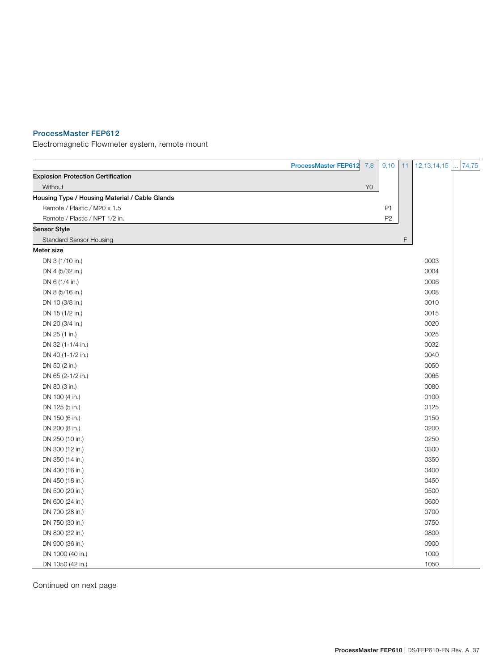#### ProcessMaster FEP612

Electromagnetic Flowmeter system, remote mount

|                                                | ProcessMaster FEP612 | 7,8<br>9,10    | 11          | 12, 13, 14, 15 | 74,75 |
|------------------------------------------------|----------------------|----------------|-------------|----------------|-------|
| <b>Explosion Protection Certification</b>      |                      |                |             |                |       |
| Without                                        |                      | Y <sub>0</sub> |             |                |       |
| Housing Type / Housing Material / Cable Glands |                      |                |             |                |       |
| Remote / Plastic / M20 x 1.5                   |                      | P <sub>1</sub> |             |                |       |
| Remote / Plastic / NPT 1/2 in.                 |                      | P <sub>2</sub> |             |                |       |
| Sensor Style                                   |                      |                |             |                |       |
| <b>Standard Sensor Housing</b>                 |                      |                | $\mathsf F$ |                |       |
| Meter size                                     |                      |                |             |                |       |
| DN 3 (1/10 in.)                                |                      |                |             | 0003           |       |
| DN 4 (5/32 in.)                                |                      |                |             | 0004           |       |
| DN 6 (1/4 in.)                                 |                      |                |             | 0006           |       |
| DN 8 (5/16 in.)                                |                      |                |             | 0008           |       |
| DN 10 (3/8 in.)                                |                      |                |             | 0010           |       |
| DN 15 (1/2 in.)                                |                      |                |             | 0015           |       |
| DN 20 (3/4 in.)                                |                      |                |             | 0020           |       |
| DN 25 (1 in.)                                  |                      |                |             | 0025           |       |
| DN 32 (1-1/4 in.)                              |                      |                |             | 0032           |       |
| DN 40 (1-1/2 in.)                              |                      |                |             | 0040           |       |
| DN 50 (2 in.)                                  |                      |                |             | 0050           |       |
| DN 65 (2-1/2 in.)                              |                      |                |             | 0065           |       |
| DN 80 (3 in.)                                  |                      |                |             | 0080           |       |
| DN 100 (4 in.)                                 |                      |                |             | 0100           |       |
| DN 125 (5 in.)                                 |                      |                |             | 0125           |       |
| DN 150 (6 in.)                                 |                      |                |             | 0150           |       |
| DN 200 (8 in.)                                 |                      |                |             | 0200           |       |
| DN 250 (10 in.)                                |                      |                |             | 0250           |       |
| DN 300 (12 in.)                                |                      |                |             | 0300           |       |
| DN 350 (14 in.)                                |                      |                |             | 0350           |       |
| DN 400 (16 in.)                                |                      |                |             | 0400           |       |
| DN 450 (18 in.)                                |                      |                |             | 0450           |       |
| DN 500 (20 in.)                                |                      |                |             | 0500           |       |
| DN 600 (24 in.)                                |                      |                |             | 0600           |       |
| DN 700 (28 in.)                                |                      |                |             | 0700           |       |
| DN 750 (30 in.)                                |                      |                |             | 0750           |       |
| DN 800 (32 in.)                                |                      |                |             | 0800           |       |
| DN 900 (36 in.)                                |                      |                |             | 0900           |       |
| DN 1000 (40 in.)                               |                      |                |             | 1000           |       |
| DN 1050 (42 in.)                               |                      |                |             | 1050           |       |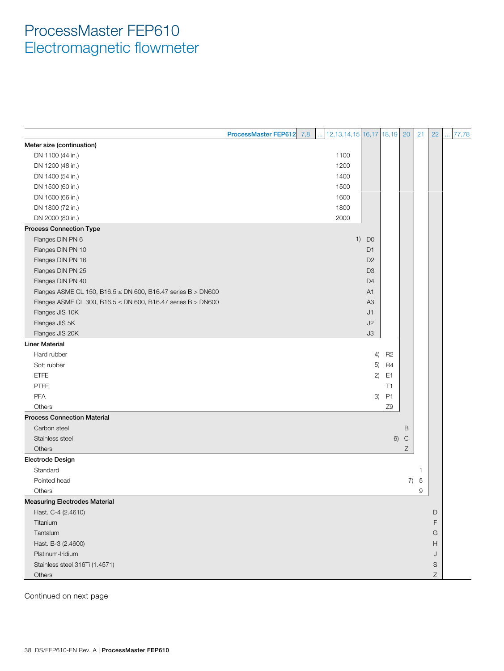|                                                                     | 7,8<br>ProcessMaster FEP612 | $12,13,14,15$ 16,17 18,19 20 |                      |                |              | 21             | 22          | 77,78 |
|---------------------------------------------------------------------|-----------------------------|------------------------------|----------------------|----------------|--------------|----------------|-------------|-------|
| Meter size (continuation)                                           |                             |                              |                      |                |              |                |             |       |
| DN 1100 (44 in.)                                                    |                             | 1100                         |                      |                |              |                |             |       |
| DN 1200 (48 in.)                                                    |                             | 1200                         |                      |                |              |                |             |       |
| DN 1400 (54 in.)                                                    |                             | 1400                         |                      |                |              |                |             |       |
| DN 1500 (60 in.)                                                    |                             | 1500                         |                      |                |              |                |             |       |
| DN 1600 (66 in.)                                                    |                             | 1600                         |                      |                |              |                |             |       |
| DN 1800 (72 in.)                                                    |                             | 1800                         |                      |                |              |                |             |       |
| DN 2000 (80 in.)                                                    |                             | 2000                         |                      |                |              |                |             |       |
| <b>Process Connection Type</b>                                      |                             |                              |                      |                |              |                |             |       |
| Flanges DIN PN 6                                                    |                             |                              | 1)<br>D <sub>0</sub> |                |              |                |             |       |
| Flanges DIN PN 10                                                   |                             |                              | D1                   |                |              |                |             |       |
| Flanges DIN PN 16                                                   |                             |                              | D <sub>2</sub>       |                |              |                |             |       |
| Flanges DIN PN 25                                                   |                             |                              | D <sub>3</sub>       |                |              |                |             |       |
| Flanges DIN PN 40                                                   |                             |                              | D <sub>4</sub>       |                |              |                |             |       |
| Flanges ASME CL 150, B16.5 $\leq$ DN 600, B16.47 series B $>$ DN600 |                             |                              | A1                   |                |              |                |             |       |
| Flanges ASME CL 300, B16.5 $\leq$ DN 600, B16.47 series B $>$ DN600 |                             |                              | A <sub>3</sub>       |                |              |                |             |       |
| Flanges JIS 10K                                                     |                             |                              | J1                   |                |              |                |             |       |
| Flanges JIS 5K                                                      |                             |                              | J2                   |                |              |                |             |       |
| Flanges JIS 20K                                                     |                             |                              | J3                   |                |              |                |             |       |
| <b>Liner Material</b>                                               |                             |                              |                      |                |              |                |             |       |
| Hard rubber                                                         |                             |                              | 4)                   | R <sub>2</sub> |              |                |             |       |
| Soft rubber                                                         |                             |                              | 5)                   | R <sub>4</sub> |              |                |             |       |
| <b>ETFE</b>                                                         |                             |                              | 2)                   | E <sub>1</sub> |              |                |             |       |
| <b>PTFE</b>                                                         |                             |                              |                      | T1             |              |                |             |       |
| <b>PFA</b>                                                          |                             |                              | 3)                   | P <sub>1</sub> |              |                |             |       |
| Others                                                              |                             |                              |                      | Z9             |              |                |             |       |
| <b>Process Connection Material</b>                                  |                             |                              |                      |                |              |                |             |       |
| Carbon steel                                                        |                             |                              |                      |                | B            |                |             |       |
| Stainless steel                                                     |                             |                              |                      | 6)             | $\mathsf{C}$ |                |             |       |
| Others                                                              |                             |                              |                      |                | Ζ            |                |             |       |
| Electrode Design                                                    |                             |                              |                      |                |              |                |             |       |
| Standard                                                            |                             |                              |                      |                |              | 1              |             |       |
| Pointed head                                                        |                             |                              |                      |                | 7)           | $\overline{5}$ |             |       |
| Others                                                              |                             |                              |                      |                |              | 9              |             |       |
| <b>Measuring Electrodes Material</b>                                |                             |                              |                      |                |              |                |             |       |
| Hast. C-4 (2.4610)                                                  |                             |                              |                      |                |              |                | D           |       |
| Titanium                                                            |                             |                              |                      |                |              |                | F           |       |
| Tantalum                                                            |                             |                              |                      |                |              |                | G           |       |
| Hast. B-3 (2.4600)                                                  |                             |                              |                      |                |              |                | Н           |       |
| Platinum-Iridium                                                    |                             |                              |                      |                |              |                | J           |       |
| Stainless steel 316Ti (1.4571)                                      |                             |                              |                      |                |              |                | S           |       |
| Others                                                              |                             |                              |                      |                |              |                | $\mathsf Z$ |       |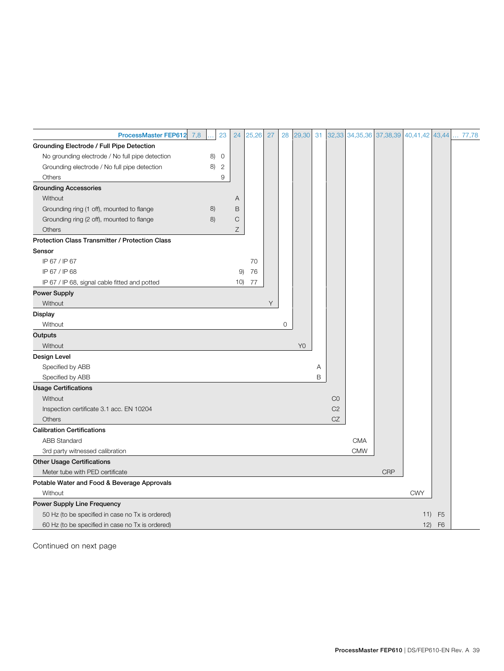| <b>ProcessMaster FEP612</b>                      | 7,8 | 23             | 24          | 25,26 | 27 | 28          | 29,30          | 31 |                |            | 32,33 34,35,36 37,38,39 | 40,41,42 43,44 |                | 77,78 |
|--------------------------------------------------|-----|----------------|-------------|-------|----|-------------|----------------|----|----------------|------------|-------------------------|----------------|----------------|-------|
| Grounding Electrode / Full Pipe Detection        |     |                |             |       |    |             |                |    |                |            |                         |                |                |       |
| No grounding electrode / No full pipe detection  | 8)  | $\circ$        |             |       |    |             |                |    |                |            |                         |                |                |       |
| Grounding electrode / No full pipe detection     | 8)  | $\overline{c}$ |             |       |    |             |                |    |                |            |                         |                |                |       |
| Others                                           |     | 9              |             |       |    |             |                |    |                |            |                         |                |                |       |
| <b>Grounding Accessories</b>                     |     |                |             |       |    |             |                |    |                |            |                         |                |                |       |
| Without                                          |     |                | Α           |       |    |             |                |    |                |            |                         |                |                |       |
| Grounding ring (1 off), mounted to flange        | 8)  |                | $\mathsf B$ |       |    |             |                |    |                |            |                         |                |                |       |
| Grounding ring (2 off), mounted to flange        | 8)  |                | $\mathsf C$ |       |    |             |                |    |                |            |                         |                |                |       |
| Others                                           |     |                | Ζ           |       |    |             |                |    |                |            |                         |                |                |       |
| Protection Class Transmitter / Protection Class  |     |                |             |       |    |             |                |    |                |            |                         |                |                |       |
| Sensor                                           |     |                |             |       |    |             |                |    |                |            |                         |                |                |       |
| IP 67 / IP 67                                    |     |                |             | 70    |    |             |                |    |                |            |                         |                |                |       |
| IP 67 / IP 68                                    |     |                | 9)          | 76    |    |             |                |    |                |            |                         |                |                |       |
| IP 67 / IP 68, signal cable fitted and potted    |     |                | 10)         | 77    |    |             |                |    |                |            |                         |                |                |       |
| <b>Power Supply</b>                              |     |                |             |       |    |             |                |    |                |            |                         |                |                |       |
| Without                                          |     |                |             |       | Υ  |             |                |    |                |            |                         |                |                |       |
| <b>Display</b>                                   |     |                |             |       |    |             |                |    |                |            |                         |                |                |       |
| Without                                          |     |                |             |       |    | $\mathbf 0$ |                |    |                |            |                         |                |                |       |
| Outputs                                          |     |                |             |       |    |             |                |    |                |            |                         |                |                |       |
| Without                                          |     |                |             |       |    |             | Y <sub>0</sub> |    |                |            |                         |                |                |       |
| Design Level                                     |     |                |             |       |    |             |                |    |                |            |                         |                |                |       |
| Specified by ABB                                 |     |                |             |       |    |             |                | Α  |                |            |                         |                |                |       |
| Specified by ABB                                 |     |                |             |       |    |             |                | B  |                |            |                         |                |                |       |
| <b>Usage Certifications</b>                      |     |                |             |       |    |             |                |    |                |            |                         |                |                |       |
| Without                                          |     |                |             |       |    |             |                |    | CO             |            |                         |                |                |       |
| Inspection certificate 3.1 acc. EN 10204         |     |                |             |       |    |             |                |    | C <sub>2</sub> |            |                         |                |                |       |
| Others                                           |     |                |             |       |    |             |                |    | CZ             |            |                         |                |                |       |
| <b>Calibration Certifications</b>                |     |                |             |       |    |             |                |    |                |            |                         |                |                |       |
| <b>ABB Standard</b>                              |     |                |             |       |    |             |                |    |                | <b>CMA</b> |                         |                |                |       |
| 3rd party witnessed calibration                  |     |                |             |       |    |             |                |    |                | <b>CMW</b> |                         |                |                |       |
| <b>Other Usage Certifications</b>                |     |                |             |       |    |             |                |    |                |            |                         |                |                |       |
| Meter tube with PED certificate                  |     |                |             |       |    |             |                |    |                |            | <b>CRP</b>              |                |                |       |
| Potable Water and Food & Beverage Approvals      |     |                |             |       |    |             |                |    |                |            |                         |                |                |       |
| Without                                          |     |                |             |       |    |             |                |    |                |            |                         | <b>CWY</b>     |                |       |
| Power Supply Line Frequency                      |     |                |             |       |    |             |                |    |                |            |                         |                |                |       |
| 50 Hz (to be specified in case no Tx is ordered) |     |                |             |       |    |             |                |    |                |            |                         | 11)            | F <sub>5</sub> |       |
| 60 Hz (to be specified in case no Tx is ordered) |     |                |             |       |    |             |                |    |                |            |                         | 12)            | F <sub>6</sub> |       |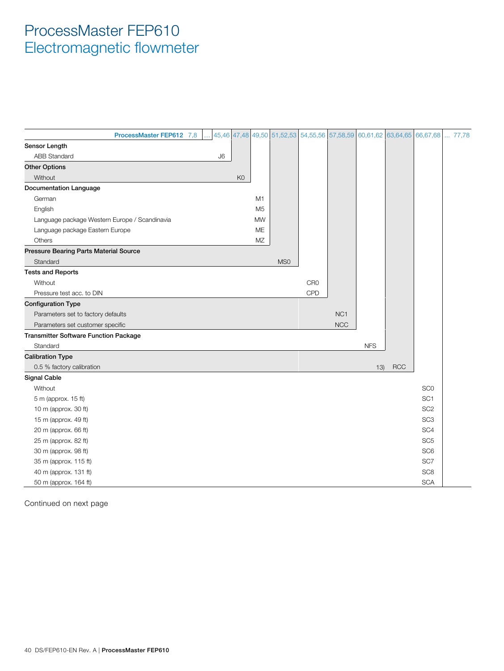|                                               | ProcessMaster FEP612 7,8 |    |                |                | 45,46 47,48 49,50 51,52,53 |                 | 54, 55, 56 57, 58, 59 |            |            | 60,61,62 63,64,65 66,67,68 | 77,78 |
|-----------------------------------------------|--------------------------|----|----------------|----------------|----------------------------|-----------------|-----------------------|------------|------------|----------------------------|-------|
| Sensor Length                                 |                          |    |                |                |                            |                 |                       |            |            |                            |       |
| <b>ABB Standard</b>                           |                          | J6 |                |                |                            |                 |                       |            |            |                            |       |
| <b>Other Options</b>                          |                          |    |                |                |                            |                 |                       |            |            |                            |       |
| Without                                       |                          |    | K <sub>0</sub> |                |                            |                 |                       |            |            |                            |       |
| <b>Documentation Language</b>                 |                          |    |                |                |                            |                 |                       |            |            |                            |       |
| German                                        |                          |    |                | M <sub>1</sub> |                            |                 |                       |            |            |                            |       |
| English                                       |                          |    |                | M5             |                            |                 |                       |            |            |                            |       |
| Language package Western Europe / Scandinavia |                          |    |                | <b>MW</b>      |                            |                 |                       |            |            |                            |       |
| Language package Eastern Europe               |                          |    |                | ME             |                            |                 |                       |            |            |                            |       |
| <b>Others</b>                                 |                          |    |                | MZ             |                            |                 |                       |            |            |                            |       |
| <b>Pressure Bearing Parts Material Source</b> |                          |    |                |                |                            |                 |                       |            |            |                            |       |
| Standard                                      |                          |    |                |                | MS <sub>0</sub>            |                 |                       |            |            |                            |       |
| <b>Tests and Reports</b>                      |                          |    |                |                |                            |                 |                       |            |            |                            |       |
| Without                                       |                          |    |                |                |                            | CR <sub>0</sub> |                       |            |            |                            |       |
| Pressure test acc. to DIN                     |                          |    |                |                |                            | CPD             |                       |            |            |                            |       |
| <b>Configuration Type</b>                     |                          |    |                |                |                            |                 |                       |            |            |                            |       |
| Parameters set to factory defaults            |                          |    |                |                |                            |                 | NC <sub>1</sub>       |            |            |                            |       |
| Parameters set customer specific              |                          |    |                |                |                            |                 | <b>NCC</b>            |            |            |                            |       |
| <b>Transmitter Software Function Package</b>  |                          |    |                |                |                            |                 |                       |            |            |                            |       |
| Standard                                      |                          |    |                |                |                            |                 |                       | <b>NFS</b> |            |                            |       |
| <b>Calibration Type</b>                       |                          |    |                |                |                            |                 |                       |            |            |                            |       |
| 0.5 % factory calibration                     |                          |    |                |                |                            |                 |                       | 13)        | <b>RCC</b> |                            |       |
| <b>Signal Cable</b>                           |                          |    |                |                |                            |                 |                       |            |            |                            |       |
| Without                                       |                          |    |                |                |                            |                 |                       |            |            | SC <sub>0</sub>            |       |
| 5 m (approx. 15 ft)                           |                          |    |                |                |                            |                 |                       |            |            | SC <sub>1</sub>            |       |
| 10 m (approx. 30 ft)                          |                          |    |                |                |                            |                 |                       |            |            | SC <sub>2</sub>            |       |
| 15 m (approx. 49 ft)                          |                          |    |                |                |                            |                 |                       |            |            | SC <sub>3</sub>            |       |
| 20 m (approx. 66 ft)                          |                          |    |                |                |                            |                 |                       |            |            | SC <sub>4</sub>            |       |
| 25 m (approx. 82 ft)                          |                          |    |                |                |                            |                 |                       |            |            | SC <sub>5</sub>            |       |
| 30 m (approx. 98 ft)                          |                          |    |                |                |                            |                 |                       |            |            | SC <sub>6</sub>            |       |
| 35 m (approx. 115 ft)                         |                          |    |                |                |                            |                 |                       |            |            | SC7                        |       |
| 40 m (approx. 131 ft)                         |                          |    |                |                |                            |                 |                       |            |            | SC <sub>8</sub>            |       |
| 50 m (approx. 164 ft)                         |                          |    |                |                |                            |                 |                       |            |            | <b>SCA</b>                 |       |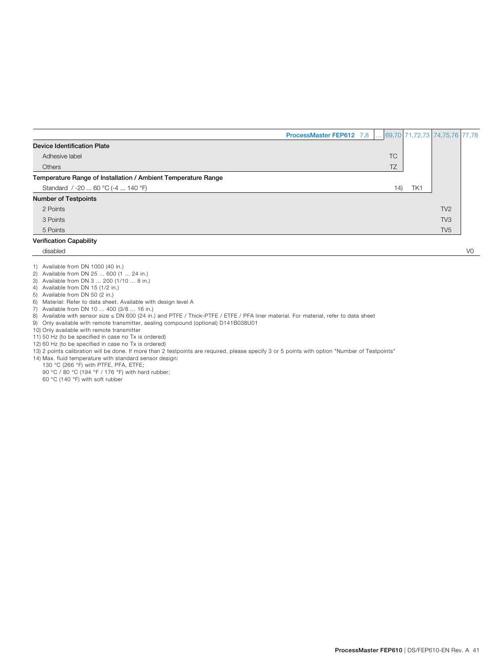|                                                               | ProcessMaster FEP612 7,8 |           |     | $\ldots$ 69,70 71,72,73 74,75,76 77,78 |  |
|---------------------------------------------------------------|--------------------------|-----------|-----|----------------------------------------|--|
| <b>Device Identification Plate</b>                            |                          |           |     |                                        |  |
| Adhesive label                                                |                          | <b>TC</b> |     |                                        |  |
| Others                                                        |                          | TZ        |     |                                        |  |
| Temperature Range of Installation / Ambient Temperature Range |                          |           |     |                                        |  |
| Standard / -20  60 °C (-4  140 °F)                            |                          | (14)      | TK1 |                                        |  |
| <b>Number of Testpoints</b>                                   |                          |           |     |                                        |  |
| 2 Points                                                      |                          |           |     | TV <sub>2</sub>                        |  |
| 3 Points                                                      |                          |           |     | TV <sub>3</sub>                        |  |
| 5 Points                                                      |                          |           |     | TV <sub>5</sub>                        |  |
| <b>Verification Capability</b>                                |                          |           |     |                                        |  |

disabled V0

1) Available from DN 1000 (40 in.)

2) Available from DN 25 ... 600 (1 ... 24 in.)

3) Available from DN 3 ... 200 (1/10 ... 8 in.)

4) Available from DN 15 (1/2 in.)

5) Available from DN 50 (2 in.)

6) Material: Refer to data sheet. Available with design level A

7) Available from DN 10 ... 400 (3/8 ... 16 in.)

8) Available with sensor size ≤ DN 600 (24 in.) and PTFE / Thick-PTFE / ETFE / PFA liner material. For material, refer to data sheet

9) Only available with remote transmitter, sealing compound (optional) D141B038U01

10) Only available with remote transmitter

11) 50 Hz (to be specified in case no Tx is ordered)

12) 60 Hz (to be specified in case no Tx is ordered)

13) 2 points calibration will be done. If more than 2 testpoints are required, please specify 3 or 5 points with option "Number of Testpoints"

14) Max. fluid temperature with standard sensor design: 130 °C (266 °F) with PTFE, PFA, ETFE;

90 °C / 80 °C (194 °F / 176 °F) with hard rubber;

60 °C (140 °F) with soft rubber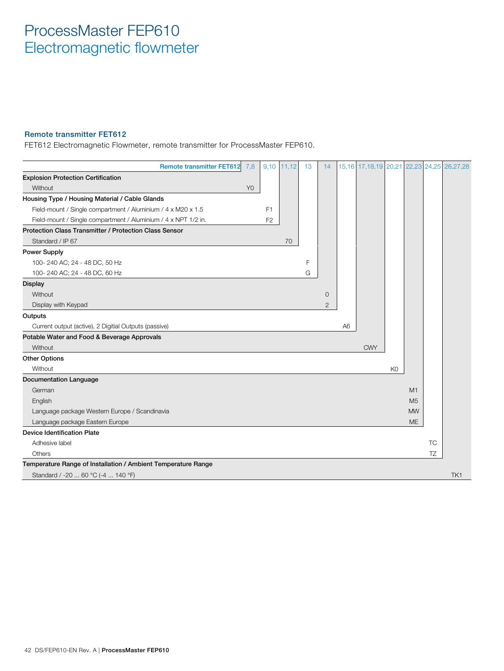#### Remote transmitter FET612

FET612 Electromagnetic Flowmeter, remote transmitter for ProcessMaster FEP610.

| <b>Remote transmitter FET612</b>                               | 7,8            |                | $9,10$ 11,12 | 13 | 14             |                | 15,16 17,18,19 20,21 22,23 24,25 26,27,28 |                |                |           |     |
|----------------------------------------------------------------|----------------|----------------|--------------|----|----------------|----------------|-------------------------------------------|----------------|----------------|-----------|-----|
| <b>Explosion Protection Certification</b>                      |                |                |              |    |                |                |                                           |                |                |           |     |
| Without                                                        | Y <sub>0</sub> |                |              |    |                |                |                                           |                |                |           |     |
| Housing Type / Housing Material / Cable Glands                 |                |                |              |    |                |                |                                           |                |                |           |     |
| Field-mount / Single compartment / Aluminium / 4 x M20 x 1.5   |                | F <sub>1</sub> |              |    |                |                |                                           |                |                |           |     |
| Field-mount / Single compartment / Aluminium / 4 x NPT 1/2 in. |                | F <sub>2</sub> |              |    |                |                |                                           |                |                |           |     |
| Protection Class Transmitter / Protection Class Sensor         |                |                |              |    |                |                |                                           |                |                |           |     |
| Standard / IP 67                                               |                |                | 70           |    |                |                |                                           |                |                |           |     |
| <b>Power Supply</b>                                            |                |                |              |    |                |                |                                           |                |                |           |     |
| 100-240 AC; 24 - 48 DC, 50 Hz                                  |                |                |              | F  |                |                |                                           |                |                |           |     |
| 100-240 AC; 24 - 48 DC, 60 Hz                                  |                |                |              | G  |                |                |                                           |                |                |           |     |
| <b>Display</b>                                                 |                |                |              |    |                |                |                                           |                |                |           |     |
| Without                                                        |                |                |              |    | $\circ$        |                |                                           |                |                |           |     |
| Display with Keypad                                            |                |                |              |    | $\overline{2}$ |                |                                           |                |                |           |     |
| Outputs                                                        |                |                |              |    |                |                |                                           |                |                |           |     |
| Current output (active), 2 Digitial Outputs (passive)          |                |                |              |    |                | A <sub>6</sub> |                                           |                |                |           |     |
| Potable Water and Food & Beverage Approvals                    |                |                |              |    |                |                |                                           |                |                |           |     |
| Without                                                        |                |                |              |    |                |                | <b>CWY</b>                                |                |                |           |     |
| <b>Other Options</b>                                           |                |                |              |    |                |                |                                           |                |                |           |     |
| Without                                                        |                |                |              |    |                |                |                                           | K <sub>0</sub> |                |           |     |
| <b>Documentation Language</b>                                  |                |                |              |    |                |                |                                           |                |                |           |     |
| German                                                         |                |                |              |    |                |                |                                           |                | M1             |           |     |
| English                                                        |                |                |              |    |                |                |                                           |                | M <sub>5</sub> |           |     |
| Language package Western Europe / Scandinavia                  |                |                |              |    |                |                |                                           |                | <b>MW</b>      |           |     |
| Language package Eastern Europe                                |                |                |              |    |                |                |                                           |                | ME             |           |     |
| <b>Device Identification Plate</b>                             |                |                |              |    |                |                |                                           |                |                |           |     |
| Adhesive label                                                 |                |                |              |    |                |                |                                           |                |                | <b>TC</b> |     |
| Others                                                         |                |                |              |    |                |                |                                           |                |                | TZ        |     |
| Temperature Range of Installation / Ambient Temperature Range  |                |                |              |    |                |                |                                           |                |                |           |     |
| Standard / -20  60 °C (-4  140 °F)                             |                |                |              |    |                |                |                                           |                |                |           | TK1 |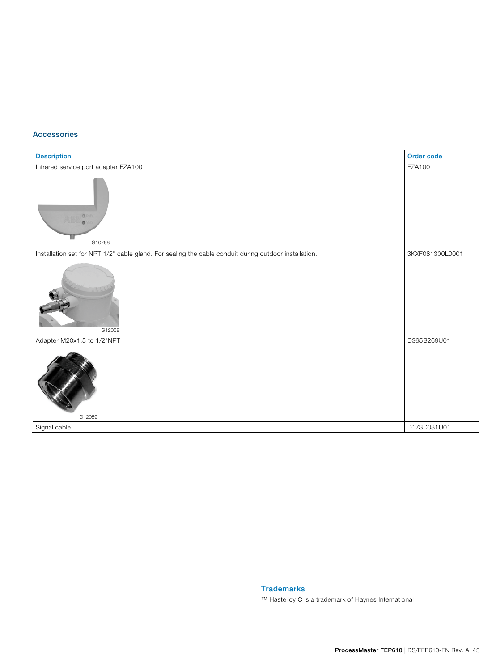#### Accessories

| Description                                                                                           | Order code      |
|-------------------------------------------------------------------------------------------------------|-----------------|
| Infrared service port adapter FZA100                                                                  | <b>FZA100</b>   |
| $\circ$<br>G10788                                                                                     |                 |
| Installation set for NPT 1/2" cable gland. For sealing the cable conduit during outdoor installation. | 3KXF081300L0001 |
| G12058                                                                                                |                 |
| Adapter M20x1.5 to 1/2"NPT                                                                            | D365B269U01     |
| G12059                                                                                                |                 |
| Signal cable                                                                                          | D173D031U01     |

Trademarks

™ Hastelloy C is a trademark of Haynes International